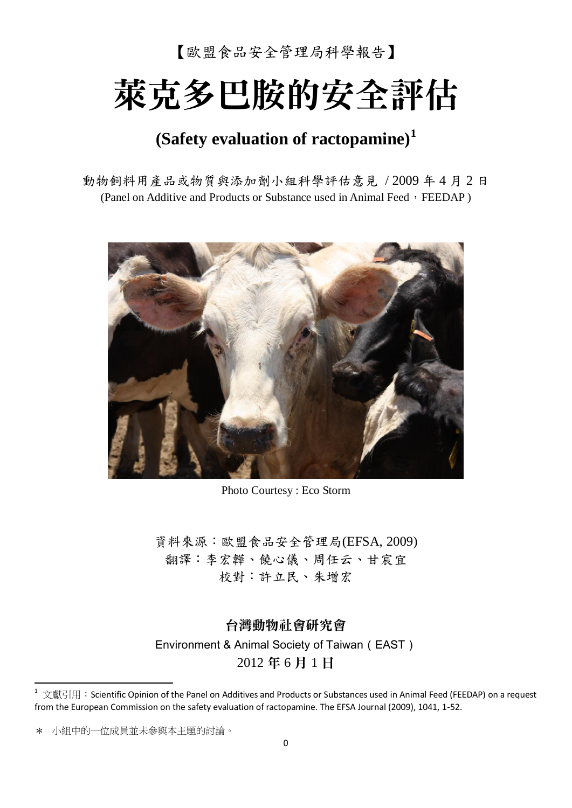【歐盟食品安全管理局科學報告】

# 萊克多巴胺的安全評估

# **(Safety evaluation of ractopamine)<sup>1</sup>**

動物飼料用產品或物質與添加劑小組科學評估意見 / 2009 年 4 月 2 日 (Panel on Additive and Products or Substance used in Animal Feed, FEEDAP)



Photo Courtesy : Eco Storm

資料來源:歐盟食品安全管理局(EFSA, 2009) 翻譯:李宏韡、饒心儀、周任云、甘宸宜 校對:許立民、朱增宏

台灣動物社會研究會 Environment & Animal Society of Taiwan (EAST) 2012 年 6 月 1 日

\* 小組中的一位成員並未參與本主題的討論。

1

文獻引用: Scientific Opinion of the Panel on Additives and Products or Substances used in Animal Feed (FEEDAP) on a request from the European Commission on the safety evaluation of ractopamine. The EFSA Journal (2009), 1041, 1-52.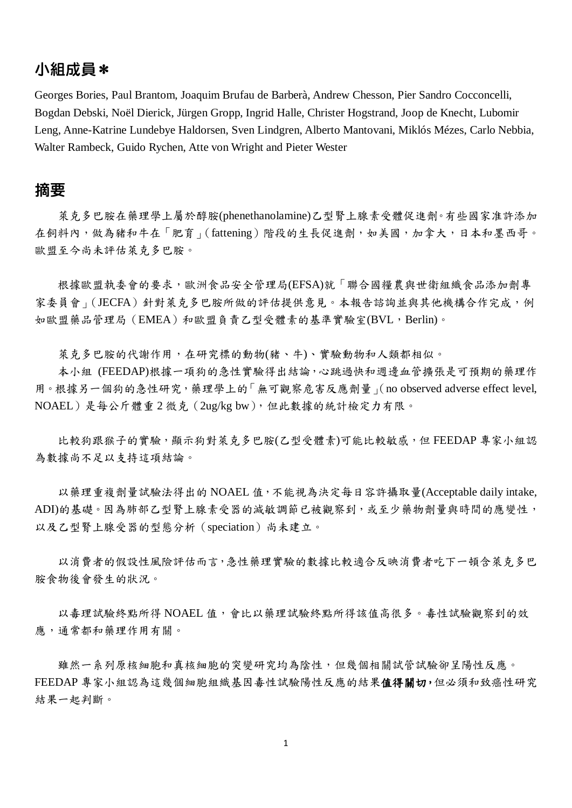# 小組成員\*

Georges Bories, Paul Brantom, Joaquim Brufau de Barberà, Andrew Chesson, Pier Sandro Cocconcelli, Bogdan Debski, Noël Dierick, Jürgen Gropp, Ingrid Halle, Christer Hogstrand, Joop de Knecht, Lubomir Leng, Anne-Katrine Lundebye Haldorsen, Sven Lindgren, Alberto Mantovani, Miklós Mézes, Carlo Nebbia, Walter Rambeck, Guido Rychen, Atte von Wright and Pieter Wester

## 摘要

萊克多巴胺在藥理學上屬於醇胺(phenethanolamine)乙型腎上腺素受體促進劑。有些國家准許添加 在飼料內,做為豬和牛在「肥育」(fattening)階段的生長促進劑,如美國,加拿大,日本和墨西哥。 歐盟至今尚未評估萊克多巴胺。

根據歐盟執委會的要求,歐洲食品安全管理局(EFSA)就「聯合國糧農與世衛組織食品添加劑專 家委員會」(JECFA)針對萊克多巴胺所做的評估提供意見。本報告諮詢並與其他機構合作完成,例 如歐盟藥品管理局(EMEA)和歐盟負責乙型受體素的基準實驗室(BVL,Berlin)。

萊克多巴胺的代謝作用,在研究標的動物(豬、牛)、實驗動物和人類都相似。

本小組 (FEEDAP)根據一項狗的急性實驗得出結論,心跳過快和週邊血管擴張是可預期的藥理作 用。根據另一個狗的急性研究,藥理學上的「無可觀察危害反應劑量」(no observed adverse effect level, NOAEL)是每公斤體重 2 微克(2ug/kg bw),但此數據的統計檢定力有限。

比較狗跟猴子的實驗,顯示狗對萊克多巴胺(乙型受體素)可能比較敏感,但 FEEDAP 專家小組認 為數據尚不足以支持這項結論。

以藥理重複劑量試驗法得出的 NOAEL 值,不能視為決定每日容許攝取量(Acceptable daily intake, ADI)的基礎。因為肺部乙型腎上腺素受器的減敏調節已被觀察到,或至少藥物劑量與時間的應變性, 以及乙型腎上腺受器的型態分析(speciation)尚未建立。

以消費者的假設性風險評估而言,急性藥理實驗的數據比較適合反映消費者吃下一頓含萊克多巴 胺食物後會發生的狀況。

以毒理試驗終點所得 NOAEL 值,會比以藥理試驗終點所得該值高很多。毒性試驗觀察到的效 應,通常都和藥理作用有關。

雖然一系列原核細胞和真核細胞的突變研究均為陰性,但幾個相關試管試驗卻呈陽性反應。 FEEDAP 專家小組認為這幾個細胞組織基因毒性試驗陽性反應的結果值得關切,但必須和致癌性研究 結果一起判斷。

1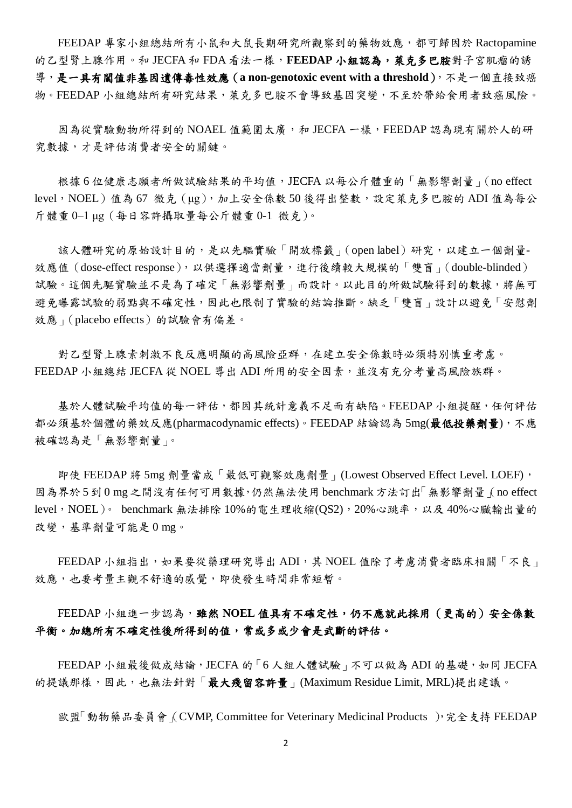FEEDAP 專家小組總結所有小鼠和大鼠長期研究所觀察到的藥物效應,都可歸因於 Ractopamine 的乙型腎上腺作用。和 JECFA 和 FDA 看法一樣,FEEDAP 小組認為,萊克多巴胺對子宮肌瘤的誘 導,是一具有閾值非基因遺傳毒性效應 (a non-genotoxic event with a threshold), 不是一個直接致癌 物。FEEDAP 小組總結所有研究結果,萊克多巴胺不會導致基因突變,不至於帶給食用者致癌風險。

因為從實驗動物所得到的 NOAEL 值範圍太廣,和 JECFA 一樣,FEEDAP 認為現有關於人的研 究數據,才是評估消費者安全的關鍵。

根據 6 位健康志願者所做試驗結果的平均值,JECFA 以每公斤體重的「無影響劑量」(no effect level, NOEL)值為 67 微克 (μg), 加上安全係數 50 後得出整數,設定萊克多巴胺的 ADI 值為每公 斤體重 0–1 μg(每日容許攝取量每公斤體重 0-1 微克)。

該人體研究的原始設計目的,是以先驅實驗「開放標籤」(open label)研究,以建立一個劑量-效應值 (dose-effect response), 以供選擇適當劑量,進行後續較大規模的「雙盲」(double-blinded) 試驗。這個先驅實驗並不是為了確定「無影響劑量」而設計。以此目的所做試驗得到的數據,將無可 避免曝露試驗的弱點與不確定性,因此也限制了實驗的結論推斷。缺乏「雙盲」設計以避免「安慰劑 效應」(placebo effects)的試驗會有偏差。

對乙型腎上腺素刺激不良反應明顯的高風險亞群,在建立安全係數時必須特別慎重考慮。 FEEDAP 小組總結 JECFA 從 NOEL 導出 ADI 所用的安全因素,並沒有充分考量高風險族群。

基於人體試驗平均值的每一評估,都因其統計意義不足而有缺陷。FEEDAP 小組提醒,任何評估 都必須基於個體的藥效反應(pharmacodynamic effects)。FEEDAP 結論認為 5mg(最低投藥劑量), 不應 被確認為是「無影響劑量」。

即使 FEEDAP 將 5mg 劑量當成「最低可觀察效應劑量」(Lowest Observed Effect Level. LOEF), 因為界於 5 到 0 mg 之間沒有任何可用數據,仍然無法使用 benchmark 方法訂出「無影響劑量」(no effect level, NOEL)。 benchmark 無法排除 10%的電生理收縮(OS2), 20%心跳率, 以及 40%心臟輸出量的 改變,基準劑量可能是 0 mg。

FEEDAP 小組指出,如果要從藥理研究導出 ADI,其 NOEL 值除了考慮消費者臨床相關「不良」 效應,也要考量主觀不舒適的感覺,即使發生時間非常短暫。

FEEDAP 小組進一步認為,雖然 NOEL 值具有不確定性,仍不應就此採用(更高的)安全係數 平衡。加總所有不確定性後所得到的值,常或多或少會是武斷的評估。

FEEDAP 小組最後做成結論, JECFA 的「6人組人體試驗」不可以做為 ADI 的基礎,如同 JECFA 的提議那樣,因此,也無法針對「最大殘留容許量」(Maximum Residue Limit, MRL)提出建議。

歐盟「動物藥品委員會 (CVMP, Committee for Veterinary Medicinal Products ), 完全支持 FEEDAP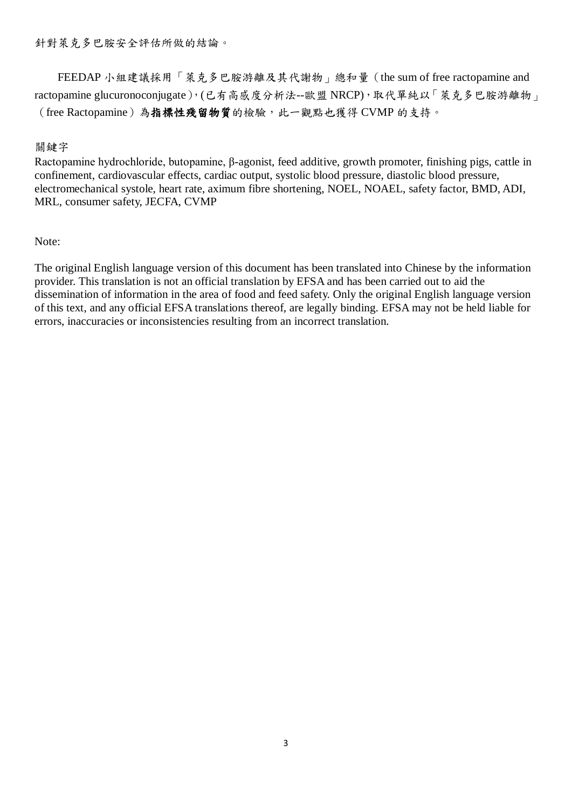針對萊克多巴胺安全評估所做的結論。

FEEDAP 小組建議採用「萊克多巴胺游離及其代謝物」總和量(the sum of free ractopamine and ractopamine glucuronoconjugate),(已有高感度分析法--歐盟 NRCP),取代單純以「萊克多巴胺游離物」 (free Ractopamine)為指標性殘留物質的檢驗,此一觀點也獲得 CVMP 的支持。

## 關鍵字

Ractopamine hydrochloride, butopamine, β-agonist, feed additive, growth promoter, finishing pigs, cattle in confinement, cardiovascular effects, cardiac output, systolic blood pressure, diastolic blood pressure, electromechanical systole, heart rate, aximum fibre shortening, NOEL, NOAEL, safety factor, BMD, ADI, MRL, consumer safety, JECFA, CVMP

Note:

The original English language version of this document has been translated into Chinese by the information provider. This translation is not an official translation by EFSA and has been carried out to aid the dissemination of information in the area of food and feed safety. Only the original English language version of this text, and any official EFSA translations thereof, are legally binding. EFSA may not be held liable for errors, inaccuracies or inconsistencies resulting from an incorrect translation.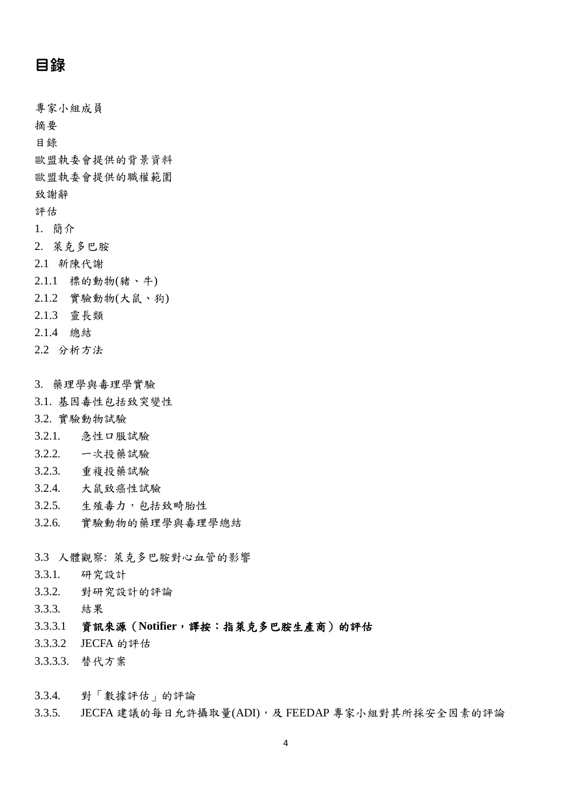# 目錄

專家小組成員

摘要

目錄

歐盟執委會提供的背景資料

歐盟執委會提供的職權範圍

致謝辭

評估

- 1. 簡介
- 2. 萊克多巴胺
- 2.1 新陳代謝
- 2.1.1 標的動物(豬、牛)
- 2.1.2 實驗動物(大鼠、狗)
- 2.1.3 靈長類
- 2.1.4 總結
- 2.2 分析方法
- 3. 藥理學與毒理學實驗
- 3.1. 基因毒性包括致突變性
- 3.2. 實驗動物試驗
- 3.2.1. 急性口服試驗
- 3.2.2. 一次投藥試驗
- 3.2.3. 重複投藥試驗
- 3.2.4. 大鼠致癌性試驗
- 3.2.5. 生殖毒力,包括致畸胎性
- 3.2.6. 實驗動物的藥理學與毒理學總結
- 3.3 人體觀察: 萊克多巴胺對心血管的影響
- 3.3.1. 研究設計
- 3.3.2. 對研究設計的評論
- 3.3.3. 結果
- 3.3.3.1 資訊來源(**Notifier**,譯按:指萊克多巴胺生產商)的評估
- 3.3.3.2 JECFA 的評估
- 3.3.3.3. 替代方案
- 3.3.4. 對「數據評估」的評論
- 3.3.5. JECFA 建議的每日允許攝取量(ADI),及 FEEDAP 專家小組對其所採安全因素的評論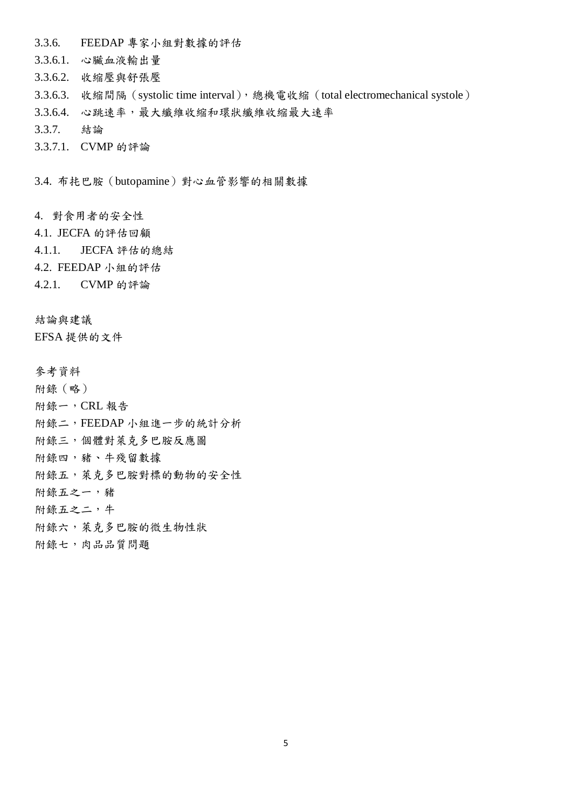- 3.3.6. FEEDAP 專家小組對數據的評估
- 3.3.6.1. 心臟血液輸出量
- 3.3.6.2. 收縮壓與舒張壓
- 3.3.6.3. 收縮間隔 (systolic time interval),總機電收縮 (total electromechanical systole)
- 3.3.6.4. 心跳速率,最大纖維收縮和環狀纖維收縮最大速率
- 3.3.7. 結論
- 3.3.7.1. CVMP 的評論

3.4. 布扥巴胺(butopamine)對心血管影響的相關數據

- 4. 對食用者的安全性
- 4.1. JECFA 的評估回顧
- 4.1.1. JECFA 評估的總結
- 4.2. FEEDAP 小組的評估
- 4.2.1. CVMP 的評論
- 結論與建議

EFSA 提供的文件

- 參考資料
- 附錄(略)
- 附錄一,CRL 報告
- 附錄二,FEEDAP 小組進一步的統計分析
- 附錄三,個體對萊克多巴胺反應圖
- 附錄四,豬、牛殘留數據
- 附錄五,萊克多巴胺對標的動物的安全性
- 附錄五之一,豬
- 附錄五之二,牛
- 附錄六,萊克多巴胺的微生物性狀
- 附錄七,肉品品質問題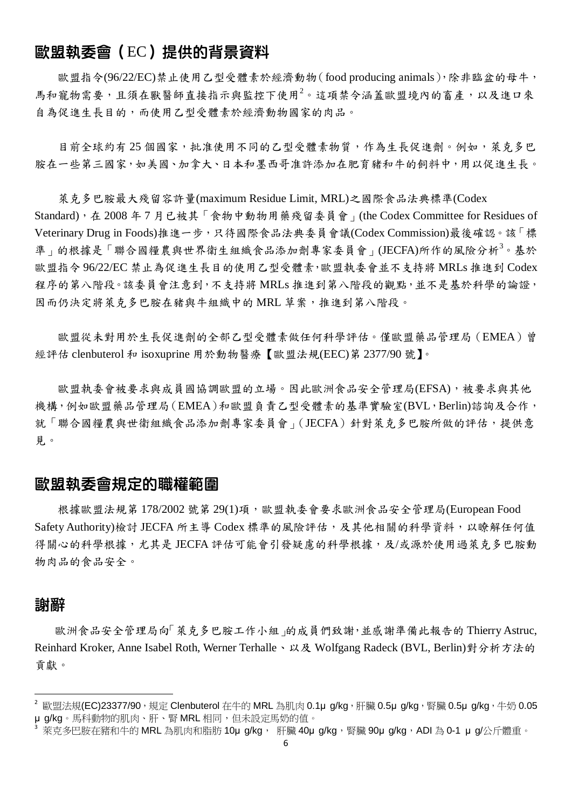# 歐盟執委會(EC)提供的背景資料

歐盟指令(96/22/EC)禁止使用乙型受體素於經濟動物(food producing animals),除非臨盆的母牛, 馬和寵物需要,且須在獸醫師直接指示與監控下使用<sup>2</sup>。這項禁令涵蓋歐盟境內的畜產,以及進口來 自為促進生長目的,而使用乙型受體素於經濟動物國家的肉品。

目前全球約有 25 個國家, 批准使用不同的乙型受體素物質,作為生長促進劑。例如,萊克多巴 胺在一些第三國家,如美國、加拿大、日本和墨西哥准許添加在肥育豬和牛的飼料中,用以促進生長。

萊克多巴胺最大殘留容許量(maximum Residue Limit, MRL)之國際食品法典標準(Codex Standard),在 2008 年 7 月已被其「食物中動物用藥殘留委員會」(the Codex Committee for Residues of Veterinary Drug in Foods)推進一步,只待國際食品法典委員會議(Codex Commission)最後確認。該「標 準」的根據是「聯合國糧農與世界衛生組織食品添加劑專家委員會」(JECFA)所作的風險分析<sup>3</sup>。基於 歐盟指令 96/22/EC 禁止為促進生長目的使用乙型受體素,歐盟執委會並不支持將 MRLs 推進到 Codex 程序的第八階段。該委員會注意到,不支持將 MRLs 推進到第八階段的觀點,並不是基於科學的論證, 因而仍決定將萊克多巴胺在豬與牛組織中的 MRL 草案,推進到第八階段。

歐盟從未對用於生長促進劑的全部乙型受體素做任何科學評估。僅歐盟藥品管理局(EMEA)曾 經評估 clenbuterol 和 isoxuprine 用於動物醫療【歐盟法規(EEC)第 2377/90 號】。

歐盟執委會被要求與成員國協調歐盟的立場。因此歐洲食品安全管理局(EFSA),被要求與其他 機構,例如歐盟藥品管理局(EMEA)和歐盟負責乙型受體素的基準實驗室(BVL,Berlin)諮詢及合作, 就「聯合國糧農與世衛組織食品添加劑專家委員會」(JECFA)針對萊克多巴胺所做的評估,提供意 見。

# 歐盟執委會規定的職權範圍

根據歐盟法規第 178/2002 號第 29(1)項,歐盟執委會要求歐洲食品安全管理局(European Food Safety Authority)檢討 JECFA 所主導 Codex 標準的風險評估,及其他相關的科學資料,以瞭解任何值 得關心的科學根據,尤其是 JECFA 評估可能會引發疑慮的科學根據,及/或源於使用過萊克多巴胺動 物肉品的食品安全。

## 謝辭

-

歐洲食品安全管理局向「萊克多巴胺工作小組」的成員們致謝,並感謝準備此報告的 Thierry Astruc, Reinhard Kroker, Anne Isabel Roth, Werner Terhalle、以及 Wolfgang Radeck (BVL, Berlin)對分析方法的 貢獻。

 $^2$  歐盟法規(EC)23377/90,規定 Clenbuterol 在牛的 MRL 為肌肉 0.1µ g/kg,肝臟 0.5µ g/kg,腎臟 0.5µ g/kg,牛奶 0.05 μ g/kg。馬科動物的肌肉、肝、腎 MRL 相同,但未設定馬奶的值。

萊克多巴胺在豬和牛的 MRL 為肌肉和脂肪 10μ g/kg, 肝臟 40μ g/kg,腎臟 90μ g/kg,ADI 為 0-1 μ g/公斤體重。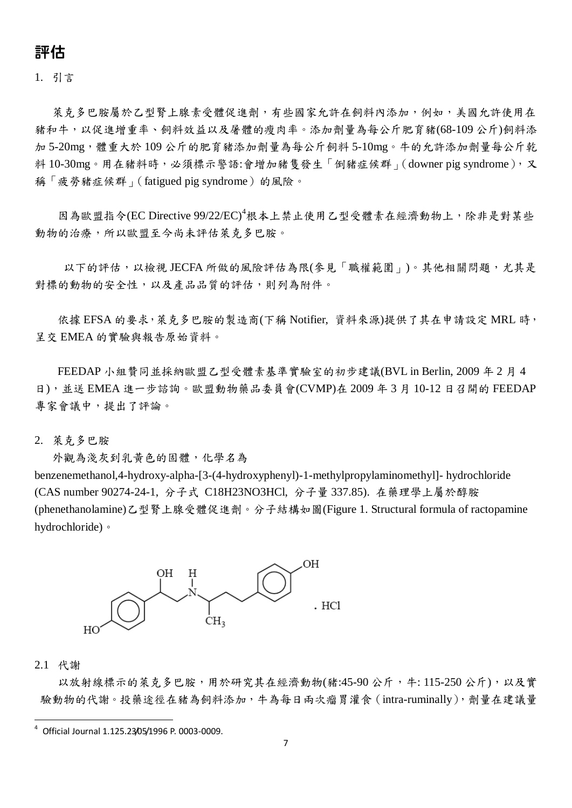# 評估

1. 引言

萊克多巴胺屬於乙型腎上腺素受體促進劑,有些國家允許在飼料內添加,例如,美國允許使用在 豬和牛,以促進增重率、飼料效益以及屠體的瘦肉率。添加劑量為每公斤肥育豬(68-109 公斤)飼料添 加 5-20mg,體重大於 109 公斤的肥育豬添加劑量為每公斤飼料 5-10mg。牛的允許添加劑量每公斤乾 料 10-30mg。用在豬料時,必須標示警語:會增加豬隻發生「倒豬症候群」(downer pig syndrome),又 稱「疲勞豬症候群」(fatigued pig syndrome)的風險。

因為歐盟指令(EC Directive 99/22/EC)<sup>4</sup>根本上禁止使用乙型受體素在經濟動物上,除非是對某些 動物的治療,所以歐盟至今尚未評估萊克多巴胺。

以下的評估,以檢視 JECFA 所做的風險評估為限(參見「職權範圍」)。其他相關問題,尤其是 對標的動物的安全性,以及產品品質的評估,則列為附件。

依據 EFSA 的要求, 萊克多巴胺的製造商(下稱 Notifier, 資料來源)提供了其在申請設定 MRL 時, 呈交 EMEA 的實驗與報告原始資料。

FEEDAP 小組贊同並採納歐盟乙型受體素基準實驗室的初步建議(BVL in Berlin, 2009 年 2 月 4 日),並送 EMEA 進一步諮詢。歐盟動物藥品委員會(CVMP)在 2009 年 3 月 10-12 日召開的 FEEDAP 專家會議中,提出了評論。

2. 萊克多巴胺

外觀為淺灰到乳黃色的固體,化學名為

benzenemethanol,4-hydroxy-alpha-[3-(4-hydroxyphenyl)-1-methylpropylaminomethyl]- hydrochloride (CAS number 90274-24-1, 分子式 C18H23NO3HCl, 分子量 337.85). 在藥理學上屬於醇胺 (phenethanolamine)乙型腎上腺受體促進劑。分子結構如圖(Figure 1. Structural formula of ractopamine hydrochloride)。



### 2.1 代謝

-

以放射線標示的萊克多巴胺,用於研究其在經濟動物(豬:45-90公斤,牛:115-250公斤),以及實 驗動物的代謝。投藥途徑在豬為飼料添加,牛為每日兩次瘤胃灌食(intra-ruminally),劑量在建議量

<sup>4</sup> Official Journal 1.125.23/05/1996 P. 0003-0009.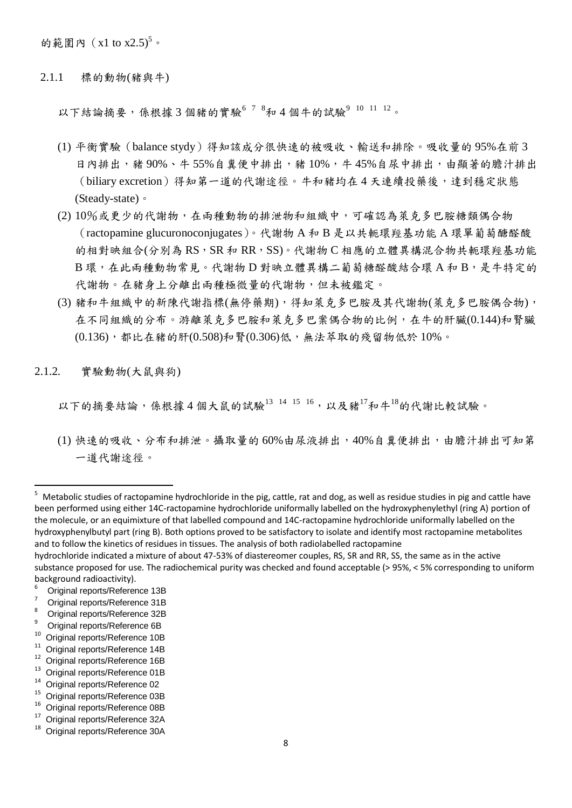的範圍內 (x1 to x2.5)<sup>5</sup>。

2.1.1 標的動物(豬與牛)

以下結論摘要,係根據 3 個豬的實驗<sup>6 7 8</sup>和 4 個牛的試驗<sup>9 10 11 12。</sup>

- (1) 平衡實驗(balance stydy)得知該成分很快速的被吸收、輸送和排除。吸收量的 95%在前 3 日內排出,豬90%、牛55%自糞便中排出,豬10%,牛45%自尿中排出,由顯著的膽汁排出 (biliary excretion)得知第一道的代謝途徑。牛和豬均在4天連續投藥後,達到穩定狀態 (Steady-state)。
- (2) 10%或更少的代謝物,在兩種動物的排泄物和組織中,可確認為萊克多巴胺糖類偶合物 (ractopamine glucuronoconjugates)。代謝物 A 和 B 是以共軛環羥基功能 A 環單葡萄醣醛酸 的相對映組合(分別為RS,SR和 RR,SS)。代謝物 C 相應的立體異構混合物共軛環經基功能 B環,在此兩種動物常見。代謝物D對映立體異構二葡萄糖醛酸結合環A和B,是牛特定的 代謝物。在豬身上分離出兩種極微量的代謝物,但未被鑑定。
- (3) 豬和牛組織中的新陳代謝指標(無停藥期),得知萊克多巴胺及其代謝物(萊克多巴胺偶合物), 在不同組織的分布。游離萊克多巴胺和萊克多巴案偶合物的比例,在牛的肝臟(0.144)和腎臟 (0.136),都比在豬的肝(0.508)和腎(0.306)低,無法萃取的殘留物低於 10%。
- 2.1.2. 實驗動物(大鼠與狗)

以下的摘要結論,係根據4個大鼠的試驗13 14 15 16,以及豬17和牛18的代謝比較試驗。

(1) 快速的吸收、分布和排泄。攝取量的60%由尿液排出,40%自糞便排出,由膽汁排出可知第 一道代謝途徑。

- $\frac{7}{8}$  Original reports/Reference 31B
- $\frac{8}{9}$  Original reports/Reference 32B
- $^{9}$  Original reports/Reference 6B
- $10^{10}$  Original reports/Reference 10B
- $11$  Original reports/Reference 14B
- $12$  Original reports/Reference 16B
- $13$  Original reports/Reference 01B<br> $14$  Original reports/Reference 02
- $14$  Original reports/Reference 02
- $^{15}$  Original reports/Reference 03B
- $^{16}$  Original reports/Reference 08B
- $17$  Original reports/Reference 32A

<sup>&</sup>lt;sup>5</sup> Metabolic studies of ractopamine hydrochloride in the pig, cattle, rat and dog, as well as residue studies in pig and cattle have been performed using either 14C-ractopamine hydrochloride uniformally labelled on the hydroxyphenylethyl (ring A) portion of the molecule, or an equimixture of that labelled compound and 14C-ractopamine hydrochloride uniformally labelled on the hydroxyphenylbutyl part (ring B). Both options proved to be satisfactory to isolate and identify most ractopamine metabolites and to follow the kinetics of residues in tissues. The analysis of both radiolabelled ractopamine

hydrochloride indicated a mixture of about 47-53% of diastereomer couples, RS, SR and RR, SS, the same as in the active substance proposed for use. The radiochemical purity was checked and found acceptable (> 95%, < 5% corresponding to uniform background radioactivity).

 $^{6}$  Original reports/Reference 13B

Original reports/Reference 30A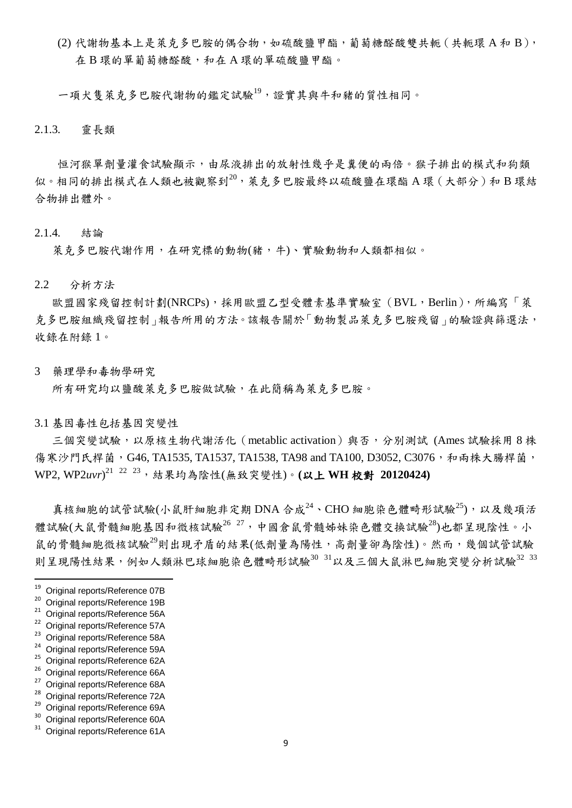(2) 代謝物基本上是萊克多巴胺的偶合物,如硫酸鹽甲酯,葡萄糖醛酸雙共軛(共軛環 A 和 B), 在 B 環的單葡萄糖醛酸,和在 A 環的單硫酸鹽甲酯。

一項犬隻萊克多巴胺代謝物的鑑定試驗<sup>19</sup>,證實其與牛和豬的質性相同。

2.1.3. 靈長類

恒河猴單劑量灌食試驗顯示,由尿液排出的放射性幾乎是糞便的兩倍。猴子排出的模式和狗類 似。相同的排出模式在人類也被觀察到<sup>20</sup>,萊克多巴胺最終以硫酸鹽在環酯 A 環(大部分)和 B 環結 合物排出體外。

#### 2.1.4. 結論

萊克多巴胺代謝作用,在研究標的動物(豬,牛)、實驗動物和人類都相似。

#### 2.2 分析方法

歐盟國家殘留控制計劃(NRCPs),採用歐盟乙型受體素基準實驗室(BVL,Berlin),所編寫「萊 克多巴胺組織殘留控制」報告所用的方法。該報告關於「動物製品萊克多巴胺殘留」的驗證與篩選法, 收錄在附錄 1。

3 藥理學和毒物學研究

所有研究均以鹽酸萊克多巴胺做試驗,在此簡稱為萊克多巴胺。

3.1 基因毒性包括基因突變性

三個突變試驗,以原核生物代謝活化 (metablic activation)與否,分別測試 (Ames 試驗採用 8 株 傷寒沙門氏桿菌, G46, TA1535, TA1537, TA1538, TA98 and TA100, D3052, C3076, 和兩株大腸桿菌, WP2, WP2*uvr*) <sup>21</sup> <sup>22</sup> <sup>23</sup>,結果均為陰性(無致突變性)。**(**以上 **WH** 校對 **20120424)**

真核細胞的試管試驗(小鼠肝細胞非定期 DNA 合成 $^{24}$ 、CHO 細胞染色體畸形試驗 $^{25}$ ),以及幾項活 體試驗(大鼠骨髓細胞基因和微核試驗<sup>26 27,</sup>中國倉鼠骨髓姊妹染色體交換試驗<sup>28</sup>)也都呈現陰性。小 鼠的骨髓細胞微核試驗<sup>29</sup>則出現矛盾的結果(低劑量為陽性,高劑量卻為陰性)。然而,幾個試管試驗 則呈現陽性結果,例如人類淋巴球細胞染色體畸形試驗30 31以及三個大鼠淋巴細胞突變分析試驗32 33

- $^{25}$  Original reports/Reference 62A
- $^{26}$  Original reports/Reference 66A
- <sup>27</sup> Original reports/Reference 68A
- $^{28}$  Original reports/Reference 72A
- $^{29}$  Original reports/Reference 69A Original reports/Reference 60A
- Original reports/Reference 61A

<sup>19</sup>  $^{19}$  Original reports/Reference 07B

<sup>20</sup> Original reports/Reference 19B

<sup>&</sup>lt;sup>21</sup> Original reports/Reference 56A

 $^{22}$  Original reports/Reference 57A

 $^{23}$  Original reports/Reference 58A

 $^{24}$  Original reports/Reference 59A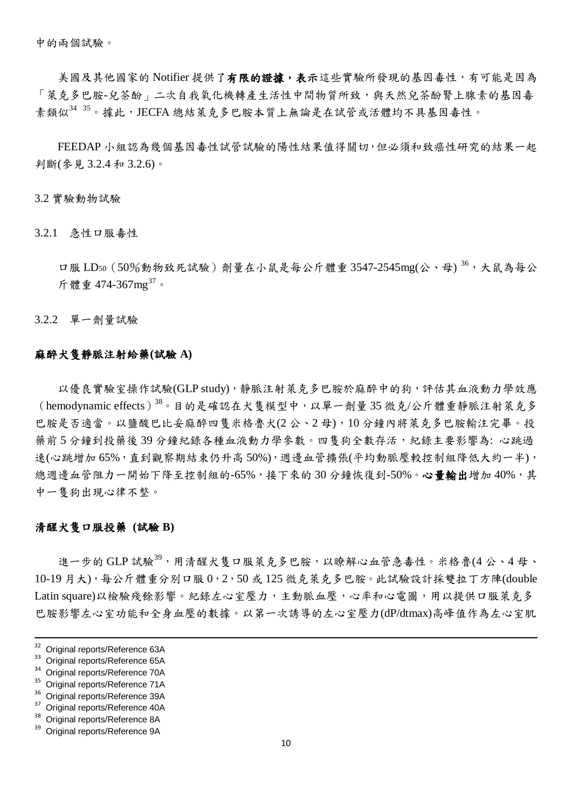中的兩個試驗。

美國及其他國家的 Notifier 提供了有限的證據,表示這些實驗所發現的基因毒性,有可能是因為 「萊克多巴胺-兒茶酚」二次自我氧化機轉產生活性中間物質所致,與天然兒茶酚腎上腺素的基因毒 素類似<sup>34 35</sup>。據此,JECFA 總結萊克多巴胺本質上無論是在試管或活體均不具基因毒性。

FEEDAP 小組認為幾個基因毒性試管試驗的陽性結果值得關切,但必須和致癌性研究的結果一起 判斷(參見 3.2.4 和 3.2.6)。

3.2 實驗動物試驗

3.2.1 急性口服毒性

口服 LD50 (50%動物致死試驗) 劑量在小鼠是每公斤體重 3547-2545mg(公、母) 36, 大鼠為每公 斤體重 474-367mg<sup>37</sup>。

3.2.2 單一劑量試驗

#### 麻醉犬隻靜脈注射給藥**(**試驗 **A)**

以優良實驗室操作試驗(GLP study),靜脈注射萊克多巴胺於麻醉中的狗,評估其血液動力學效應 (hemodynamic effects)<sup>38</sup>。目的是確認在犬隻模型中,以單一劑量 35 微克/公斤體重靜脈注射萊克多 巴胺是否適當。以鹽酸巴比妥麻醉四隻米格魯犬(2 公、2 母),10 分鐘內將萊克多巴胺輸注完畢。投 藥前5分鐘到投藥後39分鐘紀錄各種血液動力學參數。四售狗全數存活,紀錄主要影響為:心跳過 速(心跳增加65%,直到觀察期結束仍升高50%),週邊血管牆張(平均動脈壓較控制組降低大約一半), 總週邊血管阻力一開始下降至控制組的-65%,接下來的30分鐘恢復到-50%。心量輸出增加40%,其 中一隻狗出現心律不整。

#### 清醒犬隻口服投藥 **(**試驗 **B)**

進一步的 GLP 試驗<sup>39</sup>,用清醒犬隻口服萊克多巴胺,以瞭解心血管急毒性。米格魯(4公、4母、 10-19 月大),每公斤體重分別口服 0,2,50 或 125 微克萊克多巴胺。此試驗設計採雙拉丁方陣(double Latin square)以檢驗殘餘影響。紀錄左心室壓力,主動脈血壓,心率和心電圖,用以提供口服萊克多 巴胺影響左心室功能和全身血壓的數據。以第一次誘導的左心室壓力(dP/dtmax)高峰值作為左心室肌

-

Original reports/Reference 8A

<sup>&</sup>lt;sup>32</sup> Original reports/Reference 63A

<sup>&</sup>lt;sup>33</sup> Original reports/Reference 65A

Original reports/Reference 70A

Original reports/Reference 71A

 $36$  Original reports/Reference 39A

 $37$  Original reports/Reference 40A

Original reports/Reference 9A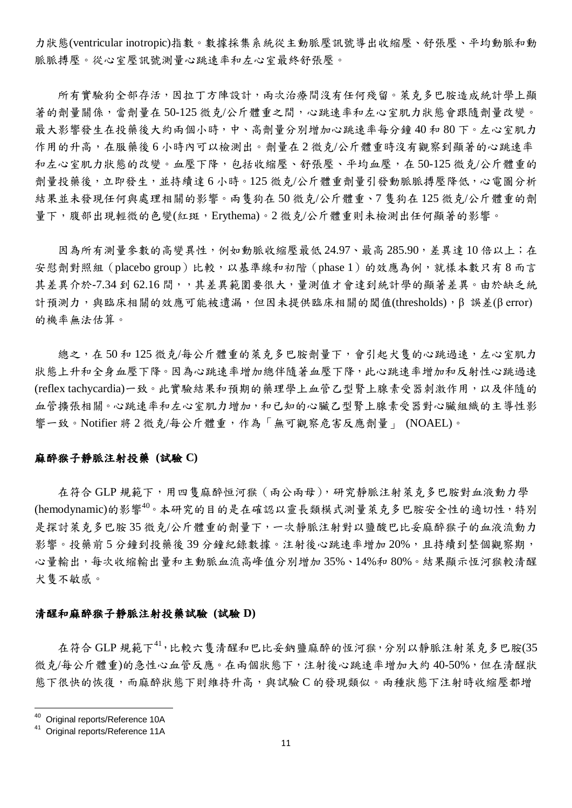力狀態(ventricular inotropic)指數。數據採集系統從主動脈壓訊號導出收縮壓、舒張壓、平均動脈和動 脈脈搏壓。從心室壓訊號測量心跳速率和左心室最終舒張壓。

所有實驗狗全部存活,因拉丁方陣設計,兩次治療間沒有任何殘留。萊克多巴胺造成統計學上顯 著的劑量關係,當劑量在 50-125 微克/公斤體重之間,心跳速率和左心室肌力狀態會跟隨劑量改變。 最大影響發生在投藥後大約兩個小時,中、高劑量分別增加心跳速率每分鐘40和80下。左心室肌力 作用的升高,在服藥後6小時內可以檢測出。劑量在2微克/公斤體重時沒有觀察到顯著的心跳速率 和左心室肌力狀態的改變。血壓下降,包括收縮壓、舒張壓、平均血壓,在 50-125 微克/公斤體重的 劑量投藥後,立即發生,並持續達 6 小時。125 微克/公斤體重劑量引發動脈脈搏壓降低,心電圖分析 結果並未發現任何與處理相關的影響。兩隻狗在 50 微克/公斤體重、7 隻狗在 125 微克/公斤體重的劑 量下,腹部出現輕微的色變(紅斑,Erythema)。2 微克/公斤體重則未檢測出任何顯著的影響。

因為所有測量參數的高變異性,例如動脈收縮壓最低 24.97、最高 285.90,差異達 10 倍以上;在 安慰劑對照組 (placebo group)比較,以基準線和初階 (phase 1) 的效應為例,就樣本數只有8而言 其差異介於-7.34 到 62.16間,,其差異範圍要很大,量測值才會達到統計學的顯著差異。由於缺乏統 計預測力,與臨床相關的效應可能被遺漏,但因未提供臨床相關的閾值(thresholds), β誤差(β error) 的機率無法估算。

總之,在 50和 125 微克/每公斤體重的萊克多巴胺劑量下,會引起犬隻的心跳過速,左心室肌力 狀態上升和全身血壓下降。也就速率增加總伴隨著血壓下降,此心跳速率增加和反射性心跳過速 (reflex tachycardia)一致。此實驗結果和預期的藥理學上血管乙型腎上腺素受器刺激作用,以及伴隨的 血管擴張相關。心跳速率和左心室肌力增加,和已知的心臟乙型腎上腺素受器對心臟組織的主導性影 響一致。Notifier 將 2 微克/每公斤體重,作為「無可觀察危害反應劑量」 (NOAEL)。

#### 麻醉猴子靜脈注射投藥 **(**試驗 **C)**

在符合 GLP 規範下, 用四隻麻醉恒河猴 (兩公兩母), 研究靜脈注射萊克多巴胺對血液動力學 (hemodynamic)的影響 $^{40}$ 。本研究的目的是在確認以靈長類模式測量萊克多巴胺安全性的適切性,特別 是探討萊克多巴胺 35 微克/公斤體重的劑量下,一次靜脈注射對以鹽酸巴比妥麻醉猴子的血液流動力 影響。投藥前5分鐘到投藥後39分鐘紀錄數據。注射後心跳速率增加20%,且持續到整個觀察期, 心量輸出,每次收縮輸出量和主動脈血流高峰值分別增加 35%、14%和 80%。結果顯示恆河猴較清醒 犬隻不敏感。

#### 清醒和麻醉猴子靜脈注射投藥試驗 **(**試驗 **D)**

在符合 GLP 規範下<sup>41</sup>,比較六隻清醒和巴比妥鈉鹽麻醉的恆河猴,分別以靜脈注射萊克多巴胺(35 微克/每公斤體重)的急性心血管反應。在兩個狀態下,注射後心跳速率增加大約40-50%,但在清醒狀 態下很快的恢復,而麻醉狀態下則維持升高,與試驗 C 的發現類似。兩種狀態下注射時收縮壓都增

<sup>&</sup>lt;sup>40</sup> Original reports/Reference 10A

Original reports/Reference 11A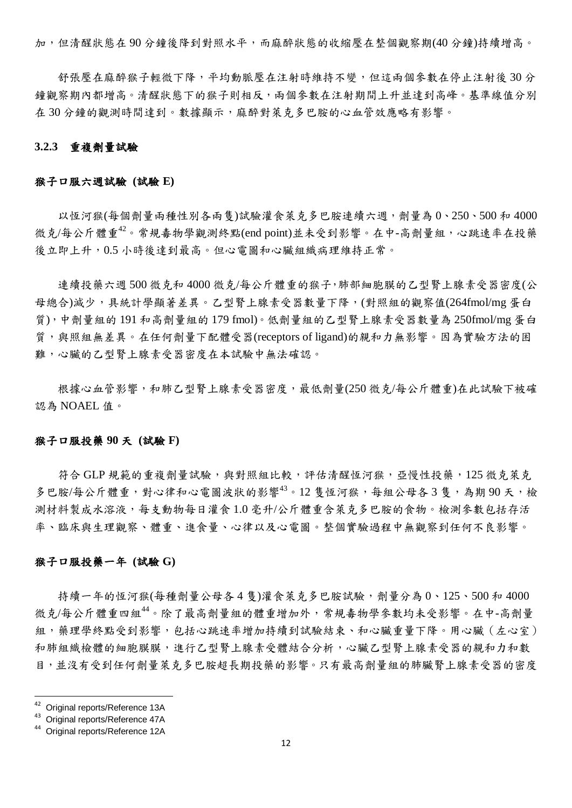加,但清醒狀態在 90 分鐘後降到對照水平,而麻醉狀態的收縮壓在整個觀察期(40 分鐘)持續增高。

舒張壓在麻醉猴子輕微下降,平均動脈壓在注射時維持不變,但這兩個參數在停止注射後 30 分 鐘觀察期內都增高。清醒狀態下的猴子則相反,兩個參數在注射期間上升並達到高峰。基準線值分別 在 30 分鐘的觀測時間達到。數據顯示,麻醉對萊克多巴胺的心血管效應略有影響。

#### **3.2.3** 重複劑量試驗

#### 猴子口服六週試驗 **(**試驗 **E)**

以恆河猴(每個劑量兩種性別各兩隻)試驗灌食萊克多巴胺連續六週,劑量為 0、250、500 和 4000 微克/每公斤體重<sup>42</sup>。常規毒物學觀測終點(end point)並未受到影響。在中-高劑量組,心跳速率在投藥 後立即上升,0.5 小時後達到最高。但心電圖和心臟組織病理維持正常。

連續投藥六週 500 微克和 4000 微克/每公斤體重的猴子,肺部細胞膜的乙型腎上腺素受器密度(公 母總合)減少,具統計學顯著差異。乙型腎上腺素受器數量下降,(對照組的觀察值(264fmol/mg 蛋白 質),中劑量組的 191 和高劑量組的 179 fmol)。低劑量組的乙型腎上腺素受器數量為 250fmol/mg 蛋白 質,與照組無差異。在任何劑量下配體受器(receptors of ligand)的親和力無影響。因為實驗方法的困 難,心臟的乙型腎上腺素受器密度在本試驗中無法確認。

根據心血管影響,和肺乙型腎上腺素受器密度,最低劑量(250 微克/每公斤體重)在此試驗下被確 認為 NOAEL 值。

#### 猴子口服投藥 **90** 天 **(**試驗 **F)**

符合 GLP 規範的重複劑量試驗,與對照組比較,評估清醒恆河猴,亞慢性投藥,125 微克萊克 多巴胺/每公斤體重,對心律和心雷圖波狀的影響 $^{43}$ 。12 售恆河猴,每組公母各3 售,為期90天,檢 測材料製成水溶液,每支動物每日灌食 1.0 毫升/公斤體重含萊克多巴胺的食物。檢測參數包括存活 率、臨床與生理觀察、體重、進食量、心律以及心電圖。整個實驗過程中無觀察到任何不良影響。

#### 猴子口服投藥一年 **(**試驗 **G)**

持續一年的恆河猴(每種劑量公母各4隻)灌食萊克多巴胺試驗,劑量分為0、125、500和4000 微克/每公斤體重四組<sup>44</sup>。除了最高劑量組的體重增加外,常規毒物學參數均未受影響。在中-高劑量 組,藥理學終點受到影響,包括心跳速率增加持續到試驗結束、和心臟重量下降。用心臟(左心室) 和肺組織檢體的細胞膜膜,進行乙型腎上腺素受體結合分析,心臟乙型腎上腺素受器的親和力和數 目,並沒有受到任何劑量萊克多巴胺超長期投藥的影響。只有最高劑量組的肺臟腎上腺素受器的密度

 $^{42}$  Original reports/Reference 13A<br> $^{43}$  Original reports/Reference 47A

<sup>43</sup> Original reports/Reference 47A

<sup>44</sup> Original reports/Reference 12A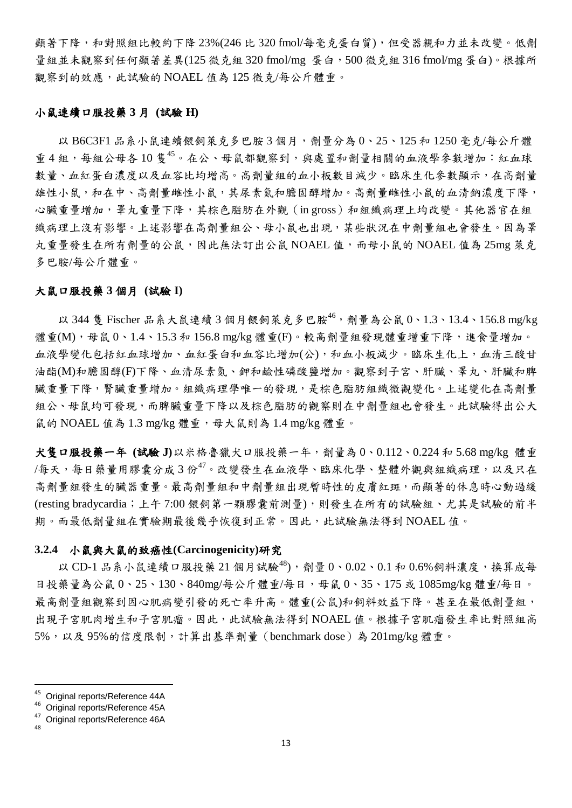顯著下降,和對照組比較約下降 23%(246 比 320 fmol/每毫克蛋白質),但受器親和力並未改變。低劑 量組並未觀察到任何顯著差異(125 微克組 320 fmol/mg 蛋白,500 微克組 316 fmol/mg 蛋白)。根據所 觀察到的效應,此試驗的 NOAEL 值為 125 微克/每公斤體重。

#### 小鼠連續口服投藥 **3** 月 **(**試驗 **H)**

以 B6C3F1 品系小鼠連續餵飼萊克多巴胺3個月,劑量分為 0、25、125 和 1250 毫克/每公斤體 重 4 組,每組公母各 10 隻<sup>45</sup>。在公、母鼠都觀察到,與處置和劑量相關的血液學參數增加:紅血球 數量、血紅蛋白濃度以及血容比均增高。高劑量組的血小板數目減少。臨床生化參數顯示,在高劑量 雄性小鼠,和在中、高劑量雌性小鼠,其尿素氮和膽固醇增加。高劑量雌性小鼠的血清鈉濃度下降, 心臟重量增加,睪丸重量下降,其棕色脂肪在外觀(in gross)和組織病理上均改變。其他器官在組 織病理上沒有影響。上述影響在高劑量組公、母小鼠也出現,某些狀況在中劑量組也會發生。因為睪 九重量發生在所有劑量的公鼠,因此無法訂出公鼠 NOAEL 值,而母小鼠的 NOAEL 值為 25mg 萊克 多巴胺/每公斤體重。

#### 大鼠口服投藥 **3** 個月 **(**試驗 **I)**

以 344 隻 Fischer 品系大鼠連續 3 個月餵飼萊克多巴胺46,劑量為公鼠 0、1.3、13.4、156.8 mg/kg 體重(M),母鼠 0、1.4、15.3 和 156.8 mg/kg 體重(F)。較高劑量組發現體重增重下降,進食量增加。 血液學變化包括紅血球增加、血紅蛋白和血容比增加(公),和血小板減少。臨床生化上,血清三酸甘 油酯(M)和膽固醇(F)下降、血清尿素氮、鉀和鹼性磷酸鹽增加。觀察到子宮、肝臟、睪丸、肝臟和脾 臟重量下降,腎臟重量增加。組織病理學唯一的發現,是棕色脂肪組織微觀變化。上述變化在高劑量 組公、母鼠均可發現,而脾臟重量下降以及棕色脂肪的觀察則在中劑量組也會發生。此試驗得出公大 鼠的 NOAEL 值為 1.3 mg/kg 體重,母大鼠則為 1.4 mg/kg 體重。

犬隻口服投藥一年 **(**試驗 **J)**以米格魯獵犬口服投藥一年,劑量為 0、0.112、0.224 和 5.68 mg/kg 體重 /每天,每日藥量用膠囊分成3份<sup>47</sup>。改變發生在血液學、臨床化學、整體外觀與組織病理,以及只在 高劑量組發生的臟器重量。最高劑量組和中劑量組出現暫時性的皮膚紅斑,而顯著的休息時心動過緩 (resting bradycardia;上午 7:00 餵飼第一顆膠囊前測量),則發生在所有的試驗組、尤其是試驗的前半 期。而最低劑量組在實驗期最後幾乎恢復到正常。因此,此試驗無法得到 NOAEL 值。

#### **3.2.4** 小鼠與大鼠的致癌性**(Carcinogenicity)**研究

以 CD-1 品系小鼠連續口服投藥 21 個月試驗<sup>48</sup>), 劑量 0、0.02、0.1 和 0.6%飼料濃度,換算成每 日投藥量為公鼠 0、25、130、840mg/每公斤體重/每日, 母鼠 0、35、175 或 1085mg/kg 體重/每日。 最高劑量組觀察到因心肌病變引發的死亡率升高。體重(公鼠)和飼料效益下降。甚至在最低劑量組, 出現子宮肌肉增生和子宮肌瘤。因此,此試驗無法得到 NOAEL 值。根據子宮肌瘤發生率比對照組高 5%,以及 95%的信度限制,計算出基準劑量(benchmark dose)為 201mg/kg 體重。

 $45$  Original reports/Reference 44A

<sup>46</sup> Original reports/Reference 45A

<sup>47</sup> Original reports/Reference 46A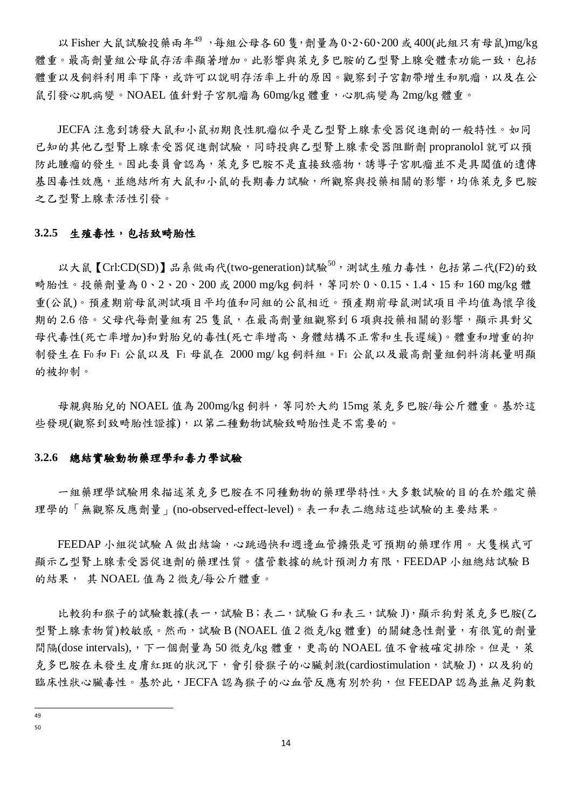以 Fisher 大鼠試驗投藥兩年 $^{49}$ , 每組公母各 60隻, 劑量為 0、2、60、200或 400(此組只有母鼠)mg/kg 體重。最高劑量組公母鼠存活率顯著增加。此影響與萊克多巴胺的乙型腎上腺受體素功能一致,包括 體重以及飼料利用率下降,或許可以說明存活率上升的原因。觀察到子宮韌帶增生和肌瘤,以及在公 鼠引發心肌病變。NOAEL 值針對子宮肌瘤為 60mg/kg 體重,心肌病變為 2mg/kg 體重。

JECFA 注意到誘發大鼠和小鼠初期良性肌瘤似乎是乙型腎上腺素受器促進劑的一般特性。如同 已知的其他乙型腎上腺素受器促進劑試驗,同時投與乙型腎上腺素受器阻斷劑 propranolol 就可以預 防此腫瘤的發生。因此委員會認為,萊克多巴胺不是直接致癌物,誘導子宮肌瘤並不是具閾值的遺傳 基因毒性效應,並總結所有大鼠和小鼠的長期毒力試驗,所觀察與投藥相關的影響,均係萊克多巴胺 之乙型腎上腺素活性引發。

#### **3.2.5** 生殖毒性,包括致畸胎性

以大鼠【Crl:CD(SD)】品系做兩代(two-generation)試驗 $^{50}$ ,測試生殖力毒性,包括第二代(F2)的致 畸胎性。投藥劑量為 0、2、20、200 或 2000 mg/kg 飼料,等同於 0、0.15、1.4、15 和 160 mg/kg 體 重(公鼠)。預產期前母鼠測試項目平均值和同組的公鼠相近。預產期前母鼠測試項目平均值為懷孕後 期的 2.6 倍。父母代每劑量組有 25 隻鼠,在最高劑量組觀察到 6 項與投藥相關的影響,顯示具對父 母代毒性(死亡率增加)和對胎兒的毒性(死亡率增高、身體結構不正常和生長遲緩)。體重和增重的抑 制發生在 F<sup>0</sup> 和 F1 公鼠以及 F1 母鼠在 2000 mg/ kg 飼料組。F1 公鼠以及最高劑量組飼料消耗量明顯 的被抑制。

母親與胎兒的 NOAEL 值為 200mg/kg 飼料,等同於大約 15mg 萊克多巴胺/每公斤體重。基於這 些發現(觀察到致畸胎性證據),以第二種動物試驗致畸胎性是不需要的。

#### **3.2.6** 總結實驗動物藥理學和毒力學試驗

一組藥理學試驗用來描述萊克多巴胺在不同種動物的藥理學特性。大多數試驗的目的在於鑑定藥 理學的「無觀察反應劑量」(no-observed-effect-level)。表一和表二總結這些試驗的主要結果。

FEEDAP 小組從試驗 A 做出結論,心跳過快和週邊血管擴張是可預期的藥理作用。犬隻模式可 顯示乙型腎上腺素受器促進劑的藥理性質。儘管數據的統計預測力有限,FEEDAP 小組總結試驗 B 的結果, 其 NOAEL 值為 2 微克/每公斤體重。

比較狗和猴子的試驗數據(表一,試驗 B;表二,試驗 G和表三,試驗 J),顯示狗對萊克多巴胺(乙 型腎上腺素物質)較敏感。然而,試驗 B (NOAEL 值 2 微克/kg 體重) 的關鍵急性劑量, 有很寬的劑量 間隔(dose intervals),,下一個劑量為 50 微克/kg 體重,更高的 NOAEL 值不會被確定排除。但是,萊 克多巴胺在未發生皮膚紅斑的狀況下,會引發猴子的心臟刺激(cardiostimulation,試驗 J),以及狗的 臨床性狀心臟毒性。基於此,JECFA 認為猴子的心血管反應有別於狗,但 FEEDAP 認為並無足夠數

 $\frac{1}{49}$ 

<sup>50</sup>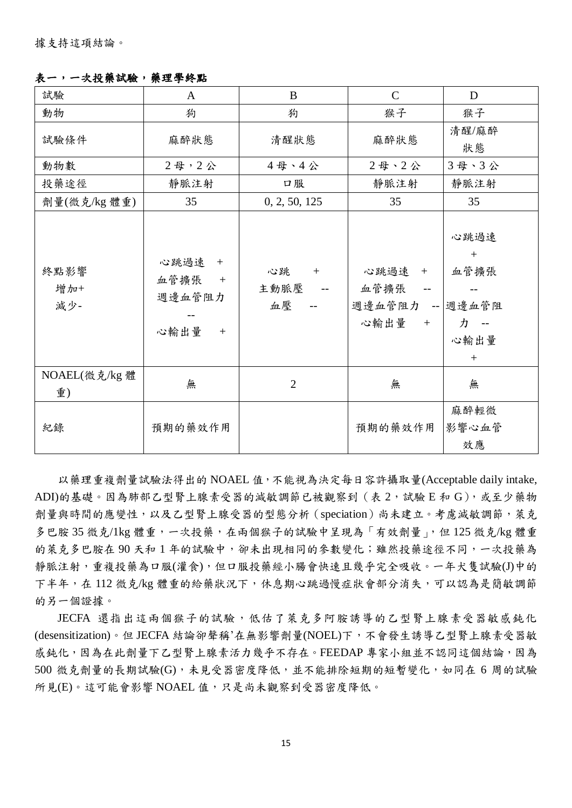表一,一次投藥試驗,藥理學終點

| 試驗                  | $\mathbf{A}$                                        | B                       | $\mathsf{C}$                                | D                                             |
|---------------------|-----------------------------------------------------|-------------------------|---------------------------------------------|-----------------------------------------------|
| 動物                  | 狗                                                   | 狗                       | 猴子                                          | 猴子                                            |
| 試驗條件                | 麻醉狀態                                                | 清醒狀態                    | 麻醉狀態                                        | 清醒/麻醉<br>狀態                                   |
| 動物數                 | 2母,2公                                               | 4母、4公                   | 2母、2公                                       | 3母、3公                                         |
| 投藥途徑                | 靜脈注射                                                | 口服                      | 靜脈注射                                        | 靜脈注射                                          |
| 劑量(微克/kg 體重)        | 35                                                  | 0, 2, 50, 125           | 35                                          | 35                                            |
| 終點影響<br>增加+<br>減少-  | 心跳過速<br>$+$<br>血管擴張<br>$+$<br>週邊血管阻力<br>心輸出量<br>$+$ | 心跳<br>$+$<br>主動脈壓<br>血壓 | 心跳過速 +<br>血管擴張<br>週邊血管阻力 -- 週邊血管阻<br>心輸出量 + | 心跳過速<br>$+$<br>血管擴張<br>力 --<br>心輸出量<br>$^{+}$ |
| NOAEL(微克/kg 體<br>重) | 無                                                   | $\overline{2}$          | 無                                           | 無                                             |
| 紀錄                  | 預期的藥效作用                                             |                         | 預期的藥效作用                                     | 麻醉輕微<br>影響心血管<br>效應                           |

以藥理重複劑量試驗法得出的 NOAEL 值,不能視為決定每日容許攝取量(Acceptable daily intake, ADI)的基礎。因為肺部乙型腎上腺素受器的減敏調節已被觀察到(表 2,試驗 E 和 G),或至少藥物 劑量與時間的應變性,以及乙型腎上腺受器的型態分析(speciation)尚未建立。考慮減敏調節,萊克 多巴胺 35 微克/1kg 體重,一次投藥,在兩個猴子的試驗中呈現為「有效劑量」,但 125 微克/kg 體重 的萊克多巴胺在90天和1年的試驗中,卻未出現相同的參數變化;雖然投藥途徑不同,一次投藥為 靜脈注射,重複投藥為口服(灌食),但口服投藥經小腸會快速且幾乎完全吸收。一年犬隻試驗(J)中的 下半年,在 112 微克/kg 體重的給藥狀況下,休息期心跳過慢症狀會部分消失,可以認為是簡敏調節 的另一個證據。

JECFA 還指出這兩個猴子的試驗,低估了萊克多阿胺誘導的乙型腎上腺素受器敏感鈍化 (desensitization)。但 JECFA 結論卻聲稱'在無影響劑量(NOEL)下,不會發生誘導乙型腎上腺素受器敏 感鈍化,因為在此劑量下乙型腎上腺素活力幾乎不存在。FEEDAP 專家小組並不認同這個結論,因為 500 微克劑量的長期試驗(G),未見受器密度降低,並不能排除短期的短暫變化,如同在 6 周的試驗 所見(E)。這可能會影響 NOAEL 值,只是尚未觀察到受器密度降低。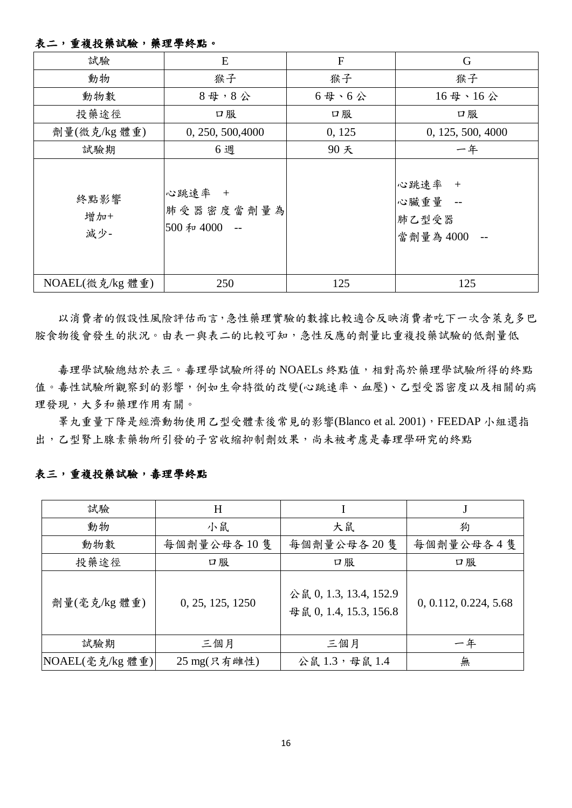## 表二,重複投藥試驗,藥理學終點。

| 試驗                 | E                                  | $\mathbf F$  | G                                       |
|--------------------|------------------------------------|--------------|-----------------------------------------|
| 動物                 | 猴子                                 | 猴子           | 猴子                                      |
| 動物數                | $84$ , $84$                        | $6$ 母、 $6$ 公 | 16母、16公                                 |
| 投藥途徑               | 口服                                 | 口服           | 口服                                      |
| 劑量(微克/kg 體重)       | 0, 250, 500, 4000                  | 0, 125       | 0, 125, 500, 4000                       |
| 試驗期                | 6週                                 | 90天          | 一年                                      |
| 終點影響<br>增加+<br>減少- | 心跳速率 +<br>肺受器密度當劑量為<br>500和4000 -- |              | 心跳速率 +<br>心臟重量 --<br>肺乙型受器<br>當劑量為 4000 |
| NOAEL(微克/kg 體重)    | 250                                | 125          | 125                                     |

以消費者的假設性風險評估而言,急性藥理實驗的數據比較適合反映消費者吃下一次含萊克多巴 胺食物後會發生的狀況。由表一與表二的比較可知,急性反應的劑量比重複投藥試驗的低劑量低

毒理學試驗總結於表三。毒理學試驗所得的 NOAELs 終點值,相對高於藥理學試驗所得的終點 值。毒性試驗所觀察到的影響,例如生命特徵的改變(心跳速率、血壓)、乙型受器密度以及相關的病 理發現,大多和藥理作用有關。

睪丸重量下降是經濟動物使用乙型受體素後常見的影響(Blanco et al. 2001),FEEDAP 小組還指 出,乙型腎上腺素藥物所引發的子宮收縮抑制劑效果,尚未被考慮是毒理學研究的終點

## 表三,重複投藥試驗,毒理學終點

| 試驗              | H                |                                                  |                       |  |
|-----------------|------------------|--------------------------------------------------|-----------------------|--|
| 動物              | 小鼠               | 大鼠                                               | 狗                     |  |
| 動物數             | 每個劑量公母各10隻       | 每個劑量公母各20隻                                       | 每個劑量公母各4隻             |  |
| 投藥途徑            | 口服               | 口服                                               | 口服                    |  |
| 劑量(毫克/kg 體重)    | 0, 25, 125, 1250 | 公鼠 0, 1.3, 13.4, 152.9<br>母鼠 0, 1.4, 15.3, 156.8 | 0, 0.112, 0.224, 5.68 |  |
| 試驗期             | 三個月              | 三個月                                              | 一年                    |  |
| NOAEL(毫克/kg 體重) | 25 mg(只有雌性)      | 公鼠1.3,母鼠1.4                                      | 無                     |  |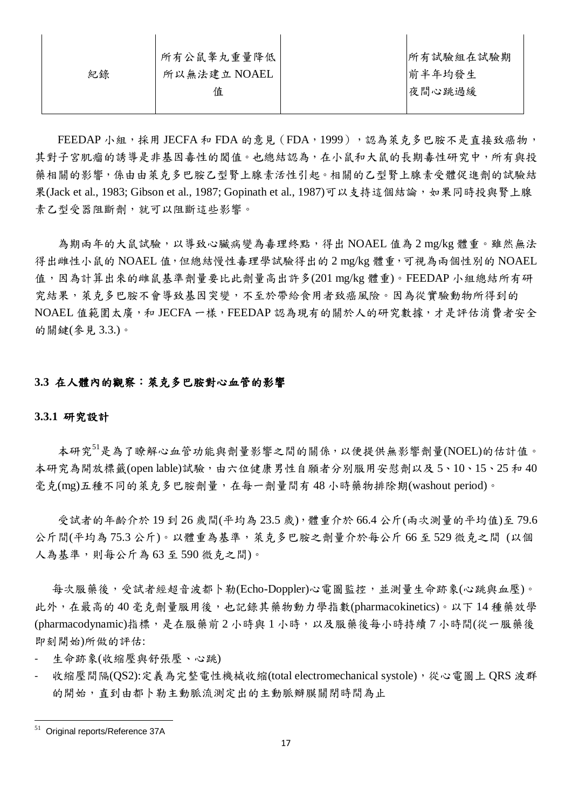|    | 所有公鼠睾丸重量降低  | 所有試驗組在試驗期 |
|----|-------------|-----------|
| 紀錄 | 所以無法建立NOAEL | 前半年均發生    |
|    | 值           | 夜間心跳過緩    |
|    |             |           |

FEEDAP 小組,採用 JECFA 和 FDA 的意見 (FDA, 1999),感為萊克多巴胺不是直接致癌物, 其對子宮肌瘤的誘導是非基因毒性的閾值。也總結認為,在小鼠和大鼠的長期毒性研究中,所有與投 藥相關的影響,係由由萊克多巴胺乙型腎上腺素活性引起。相關的乙型腎上腺素受體促進劑的試驗結 果(Jack et al., 1983; Gibson et al., 1987; Gopinath et al., 1987)可以支持這個結論,如果同時投與腎上腺 素乙型受器阻斷劑,就可以阻斷這些影響。

為期兩年的大鼠試驗,以導致心臟病變為毒理終點,得出 NOAEL 值為 2 mg/kg 體重。雖然無法 得出雌性小鼠的 NOAEL 值,但總結慢性毒理學試驗得出的 2 mg/kg 體重,可視為兩個性別的 NOAEL 值,因為計算出來的雌鼠基準劑量要比此劑量高出許多(201 mg/kg 體重)。FEEDAP 小組總結所有研 究結果,萊克多巴胺不會導致基因突變,不至於帶給食用者致癌風險。因為從實驗動物所得到的 NOAEL 值範圍太廣,和 JECFA 一樣,FEEDAP 認為現有的關於人的研究數據,才是評估消費者安全 的關鍵(參見 3.3.)。

## **3.3** 在人體內的觀察:萊克多巴胺對心血管的影響

#### **3.3.1** 研究設計

本研究<sup>51</sup>是為了瞭解心血管功能與劑量影響之間的關係,以便提供無影響劑量(NOEL)的估計值。 本研究為開放標籤(open lable)試驗,由六位健康男性自願者分別服用安慰劑以及 5、10、15、25 和 40 毫克(mg)五種不同的萊克多巴胺劑量,在每一劑量間有 48 小時藥物排除期(washout period)。

受試者的年齡介於 19 到 26 歲間(平均為 23.5 歲),體重介於 66.4 公斤(兩次測量的平均值)至 79.6 公斤間(平均為 75.3 公斤)。以體重為基準,萊克多巴胺之劑量介於每公斤 66 至 529 微克之間 (以個 人為基準,則每公斤為 63 至 590 微克之間)。

每次服藥後,受試者經超音波都卜勒(Echo-Doppler)心電圖監控,並測量生命跡象(心跳與血壓)。 此外,在最高的 40 毫克劑量服用後,也記錄其藥物動力學指數(pharmacokinetics)。以下 14 種藥效學 (pharmacodynamic)指標,是在服藥前2小時與1小時,以及服藥後每小時持續7小時間(從一服藥後 即刻開始)所做的評估:

- 生命跡象(收縮壓與舒張壓、心跳)
- 收縮壓間隔(QS2):定義為完整電性機械收縮(total electromechanical systole),從心電圖上 QRS 波群 的開始,直到由都卜勒主動脈流測定出的主動脈瓣膜關閉時間為止

 $51$  Original reports/Reference 37A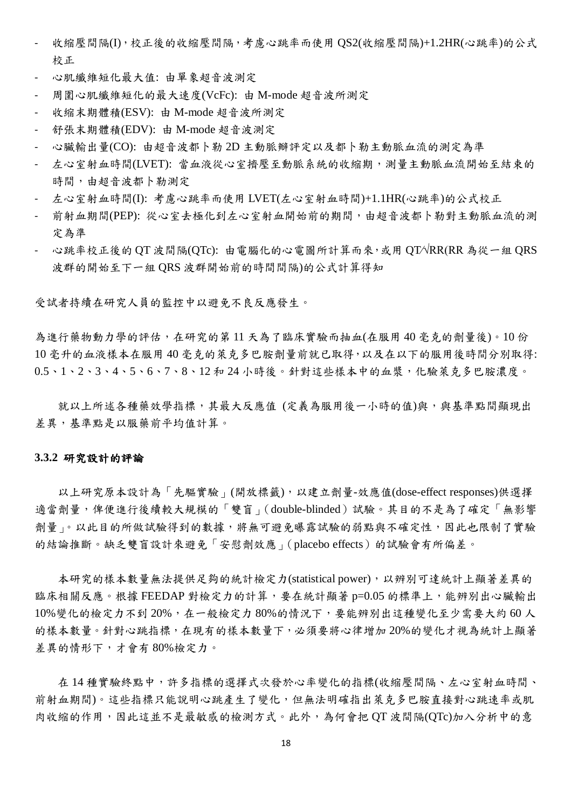- 收縮壓間隔(I),校正後的收縮壓間隔,考慮心跳率而使用 QS2(收縮壓間隔)+1.2HR(心跳率)的公式 校正
- 心肌纖維短化最大值: 由單象超音波測定
- 周圍心肌纖維短化的最大速度(VcFc): 由 M-mode 超音波所測定
- 收縮末期體積(ESV): 由 M-mode 超音波所測定
- 舒張末期體積(EDV): 由 M-mode 超音波測定
- 心臟輸出量(CO): 由超音波都卜勒 2D 主動脈瓣評定以及都卜勒主動脈血流的測定為準
- 左心室射血時間(LVET): 當血液從心室擠壓至動脈系統的收縮期,測量主動脈血流開始至結束的 時間,由超音波都卜勒測定
- 左心室射血時間(I): 考慮心跳率而使用 LVET(左心室射血時間)+1.1HR(心跳率)的公式校正
- 前射血期間(PEP): 從心室去極化到左心室射血開始前的期間,由超音波都卜勒對主動脈血流的測 定為準
- 心跳率校正後的 QT 波間隔(QTc): 由電腦化的心電圖所計算而來,或用 QT⁄√RR(RR 為從一組 QRS 波群的開始至下一組 QRS 波群開始前的時間間隔)的公式計算得知

受試者持續在研究人員的監控中以避免不良反應發生。

為進行藥物動力學的評估,在研究的第 11 天為了臨床實驗而抽血(在服用 40 毫克的劑量後)。10 份 10 毫升的血液樣本在服用 40 毫克的萊克多巴胺劑量前就已取得,以及在以下的服用後時間分別取得: 0.5、1、2、3、4、5、6、7、8、12 和 24 小時後。針對這些樣本中的血漿,化驗萊克多巴胺濃度。

就以上所述各種藥效學指標,其最大反應值 (定義為服用後一小時的值)與,與基準點間顯現出 差異,基準點是以服藥前平均值計算。

#### **3.3.2** 研究設計的評論

以上研究原本設計為「先驅實驗」(開放標籤),以建立劑量-效應值(dose-effect responses)供選擇 適當劑量,俾便進行後續較大規模的「雙盲」(double-blinded)試驗。其目的不是為了確定「無影響 劑量」。以此目的所做試驗得到的數據,將無可避免曝露試驗的弱點與不確定性,因此也限制了實驗 的結論推斷。缺乏雙盲設計來避免「安慰劑效應」(placebo effects)的試驗會有所偏差。

本研究的樣本數量無法提供足夠的統計檢定力(statistical power),以辨別可達統計上顯著差異的 臨床相關反應。根據 FEEDAP 對檢定力的計算,要在統計顯著 p=0.05 的標準上,能辨別出心臟輸出 10%變化的檢定力不到 20%,在一般檢定力 80%的情況下,要能辨別出這種變化至少需要大約 60人 的樣本數量。針對心跳指標,在現有的樣本數量下,必須要將心律增加 20%的變化才視為統計上顯著 差異的情形下,才會有 80%檢定力。

在 14 種實驗終點中,許多指標的選擇式次發於心率變化的指標(收縮壓間隔、左心室射血時間、 前射血期間)。這些指標只能說明心跳產生了變化,但無法明確指出萊克多巴胺直接對心跳速率或肌 肉收縮的作用,因此這並不是最敏感的檢測方式。此外,為何會把 QT 波間隔(QTc)加入分析中的意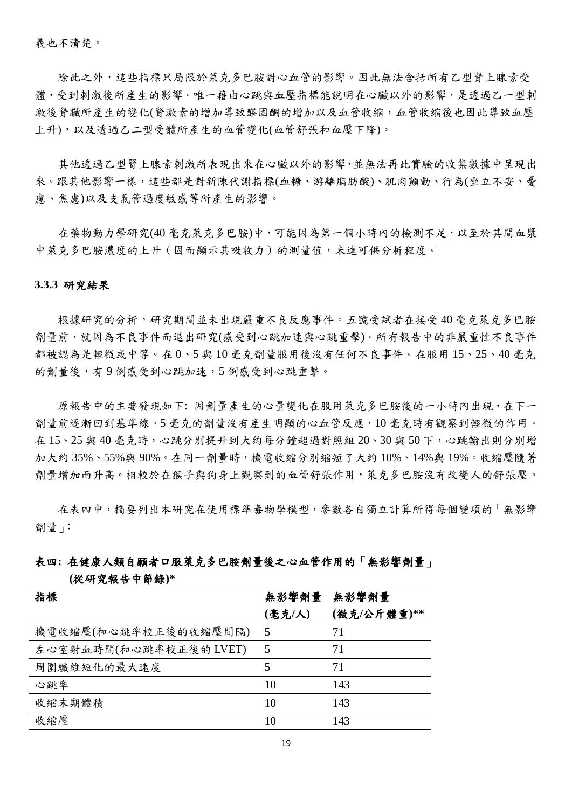義也不清楚。

除此之外,這些指標只局限於萊克多巴胺對心血管的影響。因此無法含括所有乙型腎上腺素受 體,受到刺激後所產生的影響。唯一藉由心跳與血壓指標能說明在心臟以外的影響,是透過乙一型刺 激後腎臟所產生的變化(腎激素的增加導致醛固酮的增加以及血管收縮,血管收縮後也因此導致血壓 上升),以及透過乙二型受體所產生的血管變化(血管舒張和血壓下降)。

其他透過乙型腎上腺素刺激所表現出來在心臟以外的影響,並無法再此實驗的收集數據中呈現出 來。跟其他影響一樣,這些都是對新陳代謝指標(血糖、游離脂肪酸)、肌肉顫動、行為(坐立不安、憂 慮、焦慮)以及支氣管過度敏感等所產生的影響。

在藥物動力學研究(40毫克萊克多巴胺)中,可能因為第一個小時內的檢測不足,以至於其間血漿 中萊克多巴胺濃度的上升(因而顯示其吸收力)的測量值,未達可供分析程度。

#### **3.3.3** 研究結果

根據研究的分析,研究期間並未出現嚴重不良反應事件。五號受試者在接受 40 毫克萊克多巴胺 劑量前,就因為不良事件而退出研究(感受到心跳加速與心跳重擊)。所有報告中的非嚴重性不良事件 都被認為是輕微或中等。在 0、5 與 10 毫克劑量服用後沒有任何不良事件。在服用 15、25、40 毫克 的劑量後,有9例感受到心跳加速,5例感受到心跳重擊。

原報告中的主要發現如下: 因劑量產生的心量變化在服用萊克多巴胺後的一小時內出現,在下一 劑量前逐漸回到基準線。5 毫克的劑量沒有產生明顯的心血管反應,10 毫克時有觀察到輕微的作用。 在 15、25 與 40 毫克時,心跳分別提升到大約每分鐘超過對照組 20、30 與 50 下,心跳輸出則分別增 加大約 35%、55%與 90%。在同一劑量時,機電收縮分別縮短了大約 10%、14%與 19%。收縮壓隨著 劑量增加而升高。相較於在猴子與狗身上觀察到的血管舒張作用,萊克多巴胺沒有改變人的舒張壓。

在表四中,摘要列出本研究在使用標準毒物學模型,參數各自獨立計算所得每個變項的「無影響 劑量」:

## 表四**:** 在健康人類自願者口服萊克多巴胺劑量後之心血管作用的「無影響劑量」

#### **(**從研究報告中節錄**)\***

| 指標                     | 無影響劑量  | 無影響劑量       |
|------------------------|--------|-------------|
|                        | (毫克/人) | (微克/公斤體重)** |
| 機電收縮壓(和心跳率校正後的收縮壓間隔)   | 5      | 71          |
| 左心室射血時間(和心跳率校正後的 LVET) | 5      | 71          |
| 周圍纖維短化的最大速度            | 5      | 71          |
| 心跳率                    | 10     | 143         |
| 收縮末期體積                 | 10     | 143         |
| 收縮壓                    | 10     | 143         |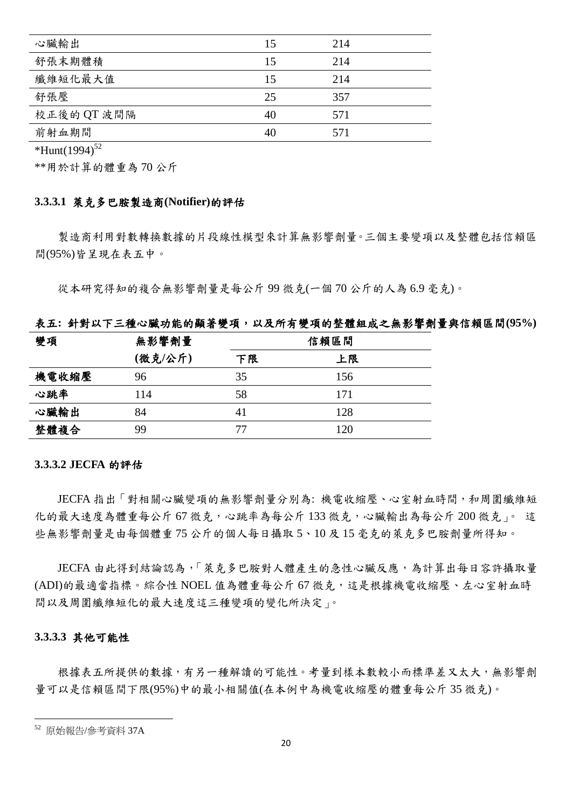| 心臟輸出        | 15 | 214 |  |
|-------------|----|-----|--|
| 舒張末期體積      | 15 | 214 |  |
| 纖維短化最大值     | 15 | 214 |  |
| 舒張壓         | 25 | 357 |  |
| 校正後的 QT 波間隔 | 40 | 571 |  |
| 前射血期間       | 40 | 571 |  |

\*Hunt(1994)<sup>52</sup>

\*\*用於計算的體重為 70 公斤

#### **3.3.3.1** 萊克多巴胺製造商**(Notifier)**的評估

製造商利用對數轉換數據的片段線性模型來計算無影響劑量。三個主要變項以及整體包括信賴區 間(95%)皆呈現在表五中。

從本研究得知的複合無影響劑量是每公斤 99 微克(一個 70 公斤的人為 6.9 毫克)。

#### 表五**:** 針對以下三種心臟功能的顯著變項,以及所有變項的整體組成之無影響劑量與信賴區間**(95%)**

| 變項    | 無影響劑量   | 信賴區間 |     |  |
|-------|---------|------|-----|--|
|       | (微克/公斤) | 下限   | 上限  |  |
| 機電收縮壓 | 96      | 35   | 156 |  |
| 心跳率   | 114     | 58   | 171 |  |
| 心臟輸出  | 84      | 41   | 128 |  |
| 整體複合  | 99      | 77   | 120 |  |

#### **3.3.3.2 JECFA** 的評估

JECFA 指出「對相關心臟變項的無影響劑量分別為: 機電收縮壓、心室射血時間,和周圍纖維短 化的最大速度為體重每公斤 67 微克,心跳率為每公斤 133 微克,心臟輸出為每公斤 200 微克」。 這 些無影響劑量是由每個體重 75 公斤的個人每日攝取 5、10 及 15 毫克的萊克多巴胺劑量所得知。

JECFA 由此得到結論認為,「萊克多巴胺對人體產生的急性心臟反應,為計算出每日容許攝取量 (ADI)的最適當指標。綜合性 NOEL 值為體重每公斤 67 微克,這是根據機電收縮壓、左心室射血時 間以及周圍纖維短化的最大速度這三種變項的變化所決定」。

#### **3.3.3.3** 其他可能性

根據表五所提供的數據,有另一種解讀的可能性。考量到樣本數較小而標準差又太大,無影響劑 量可以是信賴區間下限(95%)中的最小相關值(在本例中為機電收縮壓的體重每公斤 35 微克)。

<sup>52</sup> 原始報告/參考資料 37A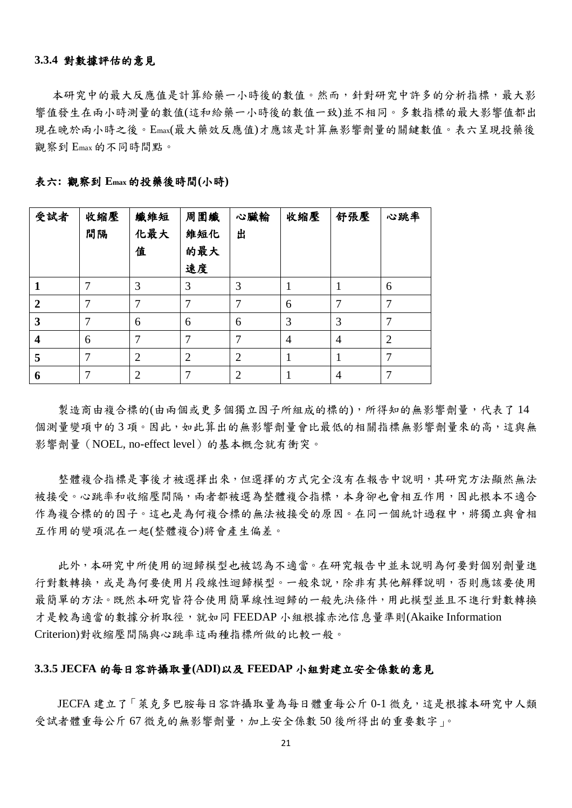#### **3.3.4** 對數據評估的意見

本研究中的最大反應值是計算給藥一小時後的數值。然而,針對研究中許多的分析指標,最大影 響值發生在兩小時測量的數值(這和給藥一小時後的數值一致)並不相同。多數指標的最大影響值都出 現在晚於兩小時之後。Emax(最大藥效反應值)才應該是計算無影響劑量的關鍵數值。表六呈現投藥後 觀察到 Emax的不同時間點。

| 受試者            | 收縮壓<br>間隔 | 纖維短<br>化最大<br>值 | 周圍纖<br>維短化<br>的最大<br>速度 | 心臟輸<br>出       | 收縮壓            | 舒張壓 | 心跳率            |
|----------------|-----------|-----------------|-------------------------|----------------|----------------|-----|----------------|
|                |           | 3               | 3                       | 3              |                |     | 6              |
| $\overline{2}$ | 7         | 7               | 7                       | 7              | 6              | 7   | $\tau$         |
| 3              | 7         | 6               | 6                       | 6              | 3              | 3   | $\tau$         |
| 4              | 6         | 7               | 7                       | 7              | $\overline{4}$ | 4   | $\overline{2}$ |
| 5              | 7         | $\overline{2}$  | $\overline{2}$          | $\overline{2}$ |                |     | 7              |
| 6              |           | $\overline{2}$  | 7                       | $\overline{2}$ |                | 4   | 7              |

|  |  | 表六: 觀察到 Emax 的投藥後時間(小時) |  |  |  |
|--|--|-------------------------|--|--|--|
|--|--|-------------------------|--|--|--|

製造商由複合標的(由兩個或更多個獨立因子所組成的標的),所得知的無影響劑量,代表了14 個測量變項中的3項。因此,如此算出的無影響劑量會比最低的相關指標無影響劑量來的高,這與無 影響劑量 (NOEL, no-effect level) 的基本概念就有衝突。

整體複合指標是事後才被選擇出來,但選擇的方式完全沒有在報告中說明,其研究方法顯然無法 被接受。心跳率和收縮壓間隔,兩者都被選為整體複合指標,本身卻也會相互作用,因此根本不適合 作為複合標的的因子。這也是為何複合標的無法被接受的原因。在同一個統計過程中,將獨立與會相 互作用的變項混在一起(整體複合)將會產生偏差。

此外,本研究中所使用的迴歸模型也被認為不適當。在研究報告中並未說明為何要對個別劑量進 行對數轉換,或是為何要使用片段線性迴歸模型。一般來說,除非有其他解釋說明,否則應該要使用 最簡單的方法。既然本研究皆符合使用簡單線性迴歸的一般先決條件,用此模型並且不進行對數轉換 才是較為適當的數據分析取徑,就如同 FEEDAP 小組根據赤池信息量準則(Akaike Information Criterion)對收縮壓間隔與心跳率這兩種指標所做的比較一般。

#### **3.3.5 JECFA** 的每日容許攝取量**(ADI)**以及 **FEEDAP** 小組對建立安全係數的意見

JECFA 建立了「萊克多巴胺每日容許攝取量為每日體重每公斤 0-1 微克,這是根據本研究中人類 受試者體重每公斤 67 微克的無影響劑量,加上安全係數 50 後所得出的重要數字」。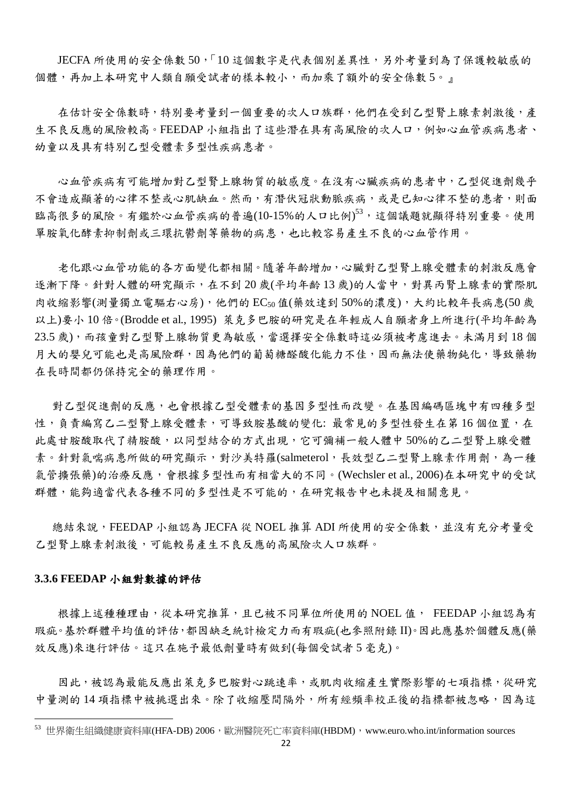JECFA 所使用的安全係數 50,「10 這個數字是代表個別差異性,另外考量到為了保護較敏感的 個體,再加上本研究中人類自願受試者的樣本較小,而加乘了額外的安全係數 5。』

在估計安全係數時,特別要考量到一個重要的次人口族群,他們在受到乙型腎上腺素刺激後,產 生不良反應的風險較高。FEEDAP 小組指出了這些潛在具有高風險的次人口,例如心血管疾病患者、 幼童以及具有特別乙型受體素多型性疾病患者。

心血管疾病有可能增加對乙型腎上腺物質的敏感度。在沒有心臟疾病的患者中,乙型促進劑幾乎 不會造成顯著的心律不整或心肌缺血。然而,有潛伏冠狀動脈疾病,或是已知心律不整的患者,則面 臨高很多的風險。有鑑於心血管疾病的普遍(10-15%的人口比例)<sup>53,</sup>這個議題就顯得特別重要。使用 單胺氧化酵素抑制劑或三環抗鬱劑等藥物的病患,也比較容易產生不良的心血管作用。

老化跟心血管功能的各方面變化都相關。隨著年齡增加,心臟對乙型腎上腺受體素的刺激反應會 逐漸下降。針對人體的研究顯示,在不到20歲(平均年齡13歲)的人當中,對異丙腎上腺素的實際肌 肉收縮影響(測量獨立電驅右心房),他們的 EC50值(藥效達到 50%的濃度),大約比較年長病患(50歲 以上)要小 10 倍。(Brodde et al., 1995) 萊克多巴胺的研究是在年輕成人自願者身上所進行(平均年齡為 23.5 歲),而孩童對乙型腎上腺物質更為敏感,當選擇安全係數時這必須被考慮進去。未滿月到 18 個 月大的嬰兒可能也是高風險群,因為他們的葡萄糖醛酸化能力不佳,因而無法使藥物鈍化,導致藥物 在長時間都仍保持完全的藥理作用。

對乙型促進劑的反應,也會根據乙型受體素的基因多型性而改變。在基因編碼區塊中有四種多型 性,負責編寫乙二型腎上腺受體素,可導致胺基酸的變化: 最常見的多型性發生在第16個位置,在 此處甘胺酸取代了精胺酸,以同型結合的方式出現,它可彌補一般人體中 50%的乙二型腎上腺受體 素。針對氣喘病患所做的研究顯示,對沙美特羅(salmeterol,長效型乙二型腎上腺素作用劑,為一種 氣管擴張藥)的治療反應,會根據多型性而有相當大的不同。(Wechsler et al., 2006)在本研究中的受試 群體,能夠適當代表各種不同的多型性是不可能的,在研究報告中也未提及相關意見。

總結來說,FEEDAP 小組認為 JECFA 從 NOEL 推算 ADI 所使用的安全係數,並沒有充分考量受 乙型腎上腺素刺激後,可能較易產生不良反應的高風險次人口族群。

#### **3.3.6 FEEDAP** 小組對數據的評估

-

根據上述種種理由,從本研究推算,且已被不同單位所使用的 NOEL 值, FEEDAP 小組認為有 瑕疵。基於群體平均值的評估,都因缺乏統計檢定力而有瑕疵(也參照附錄 II)。因此應基於個體反應(藥 效反應)來進行評估。這只在施予最低劑量時有做到(每個受試者 5 毫克)。

因此,被認為最能反應出萊克多巴胺對心跳速率,或肌肉收縮產生實際影響的七項指標,從研究 中量測的14 項指標中被挑選出來。除了收縮壓間隔外,所有經頻率校正後的指標都被忽略,因為這

 $^{53}$  世界衛生組織健康資料庫(HFA-DB) 2006,歐洲醫院死亡率資料庫(HBDM),www.euro.who.int/information sources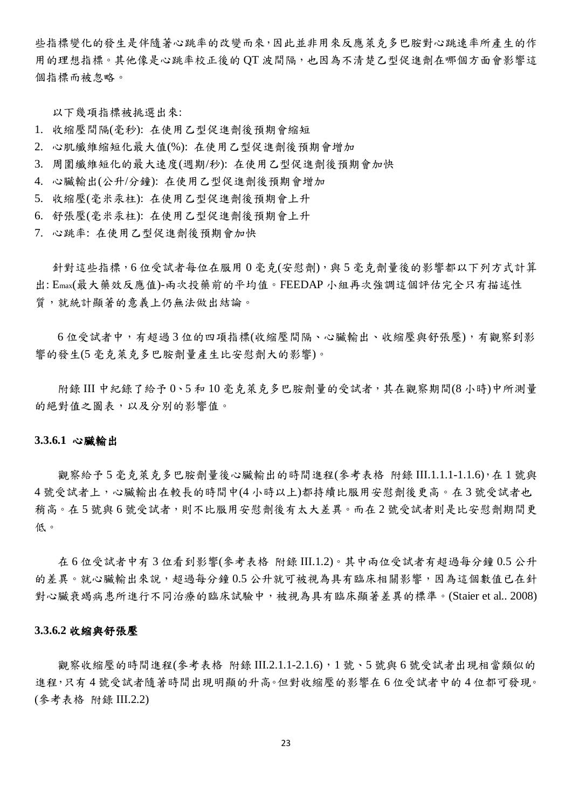些指標變化的發生是伴隨著心跳率的改變而來,因此並非用來反應萊克多巴胺對心跳速率所產生的作 用的理想指標。其他像是心跳率校正後的 QT 波間隔,也因為不清楚乙型促進劑在哪個方面會影響這 個指標而被忽略。

以下幾項指標被挑選出來:

- 1. 收縮壓間隔(毫秒): 在使用乙型促進劑後預期會縮短
- 2. 心肌纖維縮短化最大值(%): 在使用乙型促進劑後預期會增加
- 3. 周圍纖維短化的最大速度(週期/秒): 在使用乙型促進劑後預期會加快
- 4. 心臟輸出(公升/分鐘): 在使用乙型促進劑後預期會增加
- 5. 收縮壓(毫米汞柱): 在使用乙型促進劑後預期會上升
- 6. 舒張壓(毫米汞柱): 在使用乙型促進劑後預期會上升
- 7. 心跳率: 在使用乙型促進劑後預期會加快

針對這些指標,6位受試者每位在服用 0毫克(安慰劑),與5毫克劑量後的影響都以下列方式計算 出: Emax(最大藥效反應值)-兩次投藥前的平均值。FEEDAP 小組再次強調這個評估完全只有描述性 質,就統計顯著的意義上仍無法做出結論。

6 位受試者中,有超過 3 位的四項指標(收縮壓間隔、心臟輸出、收縮壓與舒張壓),有觀察到影 響的發生(5 毫克萊克多巴胺劑量產生比安慰劑大的影響)。

附錄 III 中紀錄了給予 0、5 和 10 毫克萊克多巴胺劑量的受試者,其在觀察期間(8 小時)中所測量 的絕對值之圖表,以及分別的影響值。

#### **3.3.6.1** 心臟輸出

觀察給予5毫克萊克多巴胺劑量後心臟輸出的時間進程(參考表格 附錄 III.1.1.1-1.1.6),在1號與 4 號受試者上,心臟輸出在較長的時間中(4 小時以上)都持續比服用安慰劑後更高。在 3 號受試者也 稍高。在 5 號與 6 號受試者,則不比服用安慰劑後有太大差異。而在 2 號受試者則是比安慰劑期間更 低。

在 6 位受試者中有 3 位看到影響(參考表格 附錄 III.1.2)。其中兩位受試者有超過每分鐘 0.5 公升 的差異。就心臟輸出來說,超過每分鐘 0.5 公升就可被視為具有臨床相關影響,因為這個數值已在針 對心臟衰竭病患所進行不同治療的臨床試驗中,被視為具有臨床顯著差異的標準。(Staier et al.. 2008)

#### **3.3.6.2** 收縮與舒張壓

觀察收縮壓的時間進程(參考表格 附錄 III.2.1.1-2.1.6), 1號、5號與6號受試者出現相當類似的 進程,只有4號受試者隨著時間出現明顯的升高。但對收縮壓的影響在6位受試者中的4位都可發現。 (參考表格 附錄 III.2.2)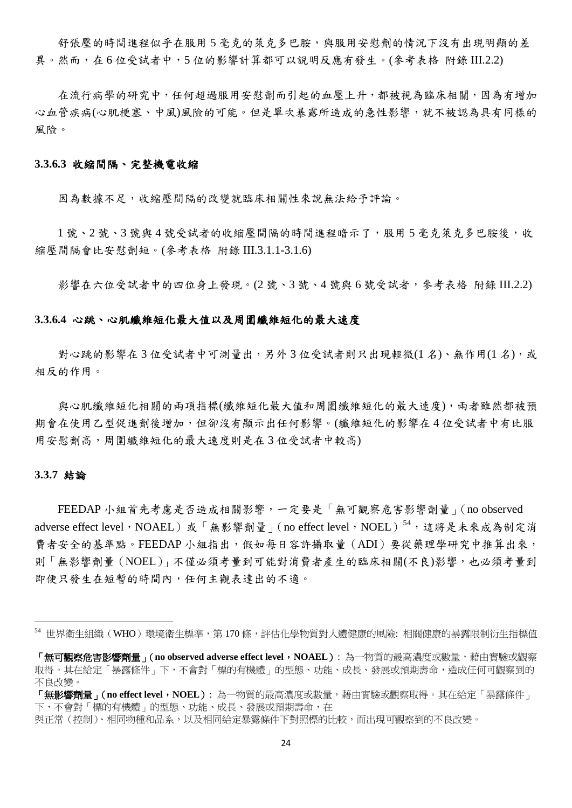舒張壓的時間進程似乎在服用5毫克的萊克多巴胺,與服用安慰劑的情況下沒有出現明顯的差 異。然而,在 6 位受試者中,5 位的影響計算都可以說明反應有發生。(參考表格 附錄 III.2.2)

在流行病學的研究中,任何超過服用安慰劑而引起的血壓上升,都被視為臨床相關,因為有增加 心血管疾病(心肌梗塞、中風)風險的可能。但是單次暴露所造成的急性影響,就不被認為具有同樣的 風險。

#### **3.3.6.3** 收縮間隔、完整機電收縮

因為數據不足,收縮壓間隔的改變就臨床相關性來說無法給予評論。

1號、2號、3號與4號受試者的收縮壓間隔的時間進程暗示了,服用5毫克萊克多巴胺後,收 縮壓間隔會比安慰劑短。(參考表格 附錄 III.3.1.1-3.1.6)

影響在六位受試者中的四位身上發現。(2號、3號、4號與6號受試者,參考表格 附錄 III.2.2)

#### **3.3.6.4** 心跳、心肌纖維短化最大值以及周圍纖維短化的最大速度

對心跳的影響在3位受試者中可測量出,另外3位受試者則只出現輕微(1名)、無作用(1名),或 相反的作用。

與心肌纖維短化相關的兩項指標(纖維短化最大值和周圍纖維短化的最大速度),兩者雖然都被預 期會在使用乙型促進劑後增加,但卻沒有顯示出任何影響。(纖維短化的影響在 4 位受試者中有比服 用安慰劑高,周圍纖維短化的最大速度則是在3位受試者中較高)

#### **3.3.7** 結論

-

FEEDAP 小組首先考慮是否造成相關影響,一定要是「無可觀察危害影響劑量」(no observed adverse effect level,NOAEL)或「無影響劑量」(no effect level,NOEL)<sup>54</sup>,這將是未來成為制定消 費者安全的基準點。FEEDAP 小組指出,假如每日容許攝取量(ADI)要從藥理學研究中推算出來, 則「無影響劑量(NOEL)」不僅必須考量到可能對消費者產生的臨床相關(不良)影響,也必須考量到 即便只發生在短暫的時間內,任何主觀表達出的不適。

<sup>54</sup> 世界衛生組織(WHO)環境衛生標準,第 170 條,評估化學物質對人體健康的風險:相關健康的暴露限制衍生指標值

<sup>「</sup>無可觀察危害影響劑量」(**no observed adverse effect level**,**NOAEL**): 為一物質的最高濃度或數量,藉由實驗或觀察 取得。其在給定「暴露條件」下,不會對「標的有機體」的型態、功能、成長、發展或預期壽命,造成任何可觀察到的 不良改變。

<sup>「</sup>無影響劑量」(**no effect level**,**NOEL**): 為一物質的最高濃度或數量,藉由實驗或觀察取得。其在給定「暴露條件」 下,不會對「標的有機體」的型態、功能、成長、發展或預期壽命,在

與正常(控制)、相同物種和品系,以及相同給定暴露條件下對照標的比較,而出現可觀察到的不良改變。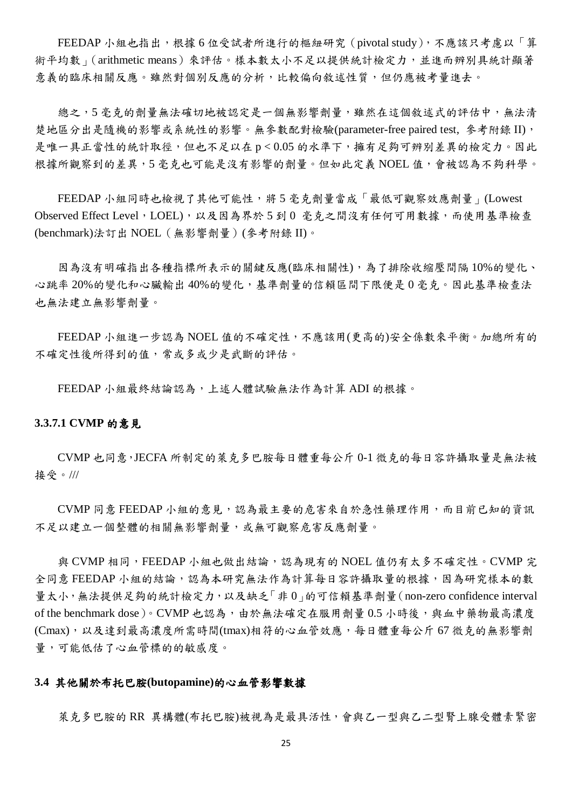FEEDAP 小組也指出,根據 6 位受試者所進行的樞紐研究(pivotal study),不應該只考慮以「算 術平均數」(arithmetic means)來評估。樣本數太小不足以提供統計檢定力,並進而辨別具統計顯著 意義的臨床相關反應。雖然對個別反應的分析,比較偏向敘述性質,但仍應被考量進去。

總之,5 毫克的劑量無法確切地被認定是一個無影響劑量,雖然在這個敘述式的評估中,無法清 楚地區分出是隨機的影響或系統性的影響。無參數配對檢驗(parameter-free paired test, 參考附錄 II), 是唯一具正當性的統計取徑,但也不足以在 p<0.05 的水準下,擁有足夠可辨別差異的檢定力。因此 根據所觀察到的差異,5 毫克也可能是沒有影響的劑量。但如此定義 NOEL 值,會被認為不夠科學。

FEEDAP 小組同時也檢視了其他可能性,將5毫克劑量當成「最低可觀察效應劑量」(Lowest Observed Effect Level, LOEL),以及因為界於 5 到 0 毫克之間沒有任何可用數據,而使用基準檢查 (benchmark)法訂出 NOEL(無影響劑量)(參考附錄 II)。

因為沒有明確指出各種指標所表示的關鍵反應(臨床相關性),為了排除收縮壓間隔 10%的變化、 心跳率 20%的變化和心臟輸出 40%的變化,基準劑量的信賴區間下限便是 0 毫克。因此基準檢查法 也無法建立無影響劑量。

FEEDAP 小組進一步認為 NOEL 值的不確定性,不應該用(更高的)安全係數來平衡。加總所有的 不確定性後所得到的值,常或多或少是武斷的評估。

FEEDAP 小組最終結論認為,上述人體試驗無法作為計算 ADI 的根據。

#### **3.3.7.1 CVMP** 的意見

CVMP 也同意,JECFA 所制定的萊克多巴胺每日體重每公斤 0-1 微克的每日容許攝取量是無法被 接受。///

CVMP 同意 FEEDAP 小組的意見, 認為最主要的危害來自於急性藥理作用,而目前已知的資訊 不足以建立一個整體的相關無影響劑量,或無可觀察危害反應劑量。

與 CVMP 相同,FEEDAP 小組也做出結論,認為現有的 NOEL 值仍有太多不確定性。CVMP完 全同意 FEEDAP 小組的結論,認為本研究無法作為計算每日容許攝取量的根據,因為研究樣本的數  $\exists$ 太小,無法提供足夠的統計檢定力,以及缺乏「非  $0$  | 的可信賴基準劑量(non-zero confidence interval of the benchmark dose)。CVMP 也認為,由於無法確定在服用劑量  $0.5$  小時後,與血中藥物最高濃度 (Cmax),以及達到最高濃度所需時間(tmax)相符的心血管效應,每日體重每公斤67 微克的無影響劑 量,可能低估了心血管標的的敏感度。

#### **3.4** 其他關於布托巴胺**(butopamine)**的心血管影響數據

萊克多巴胺的 RR 異構體(布托巴胺)被視為是最具活性,會與乙一型與乙二型腎上腺受體素緊密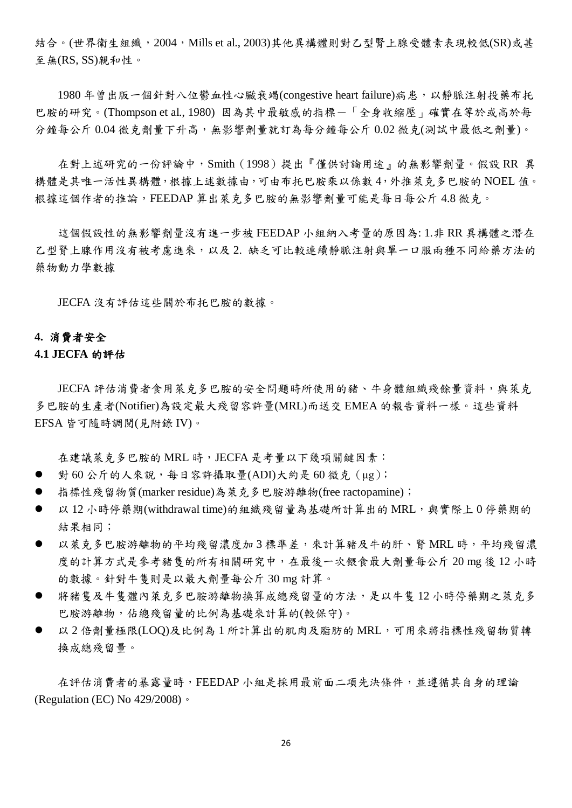結合。(世界衛生組織, 2004, Mills et al., 2003)其他異構體則對乙型腎上腺受體素表現較低(SR)或甚 至無(RS, SS)親和性。

1980年曾出版一個針對八位鬱血性心臟衰竭(congestive heart failure)病患,以靜脈注射投藥布托 巴胺的研究。(Thompson et al., 1980) 因為其中最敏感的指標-「全身收縮壓」確實在等於或高於每 分鐘每公斤 0.04 微克劑量下升高,無影響劑量就訂為每分鐘每公斤 0.02 微克(測試中最低之劑量)。

在對上述研究的一份評論中,Smith (1998)提出『僅供討論用途』的無影響劑量。假設 RR 異 構體是其唯一活性異構體,根據上述數據由,可由布托巴胺乘以係數 4,外推萊克多巴胺的 NOEL 值。 根據這個作者的推論,FEEDAP 算出萊克多巴胺的無影響劑量可能是每日每公斤 4.8 微克。

這個假設性的無影響劑量沒有進一步被 FEEDAP 小組納入考量的原因為: 1.非 RR 異構體之潛在 乙型腎上腺作用沒有被考慮進來,以及 2. 缺乏可比較連續靜脈注射與單一口服兩種不同給藥方法的 藥物動力學數據

JECFA 沒有評估這些關於布托巴胺的數據。

#### **4.** 消費者安全

#### **4.1 JECFA** 的評估

JECFA 評估消費者食用萊克多巴胺的安全問題時所使用的豬、牛身體組織殘餘量資料,與萊克 多巴胺的生產者(Notifier)為設定最大殘留容許量(MRL)而送交 EMEA 的報告資料一樣。這些資料 EFSA 皆可隨時調閱(見附錄 IV)。

在建議萊克多巴胺的 MRL 時, JECFA 是考量以下幾項關鍵因素:

- 對 60 公斤的人來說,每日容許攝取量(ADI)大約是 60 微克 (µg);
- 指標性殘留物質(marker residue)為萊克多巴胺游離物(free ractopamine);
- 以 12 小時停藥期(withdrawal time)的組織殘留量為基礎所計算出的 MRL, 與實際上 0 停藥期的 結果相同;
- 以萊克多巴胺游離物的平均殘留濃度加3標準差,來計算豬及牛的肝、腎 MRL 時,平均殘留濃 度的計算方式是參考豬隻的所有相關研究中,在最後一次餵食最大劑量每公斤 20 mg 後 12 小時 的數據。針對牛隻則是以最大劑量每公斤 30 mg 計算。
- 將豬隻及牛隻體內萊克多巴胺游離物換算成總殘留量的方法,是以牛隻12小時停藥期之萊克多 巴胺游離物,佔總殘留量的比例為基礎來計算的(較保守)。
- 以2倍劑量極限(LOQ)及比例為1所計算出的肌肉及脂肪的 MRL,可用來將指標性殘留物質轉 換成總殘留量。

在評估消費者的暴露量時,FEEDAP 小組是採用最前面二項先決條件,並遵循其自身的理論 (Regulation (EC) No 429/2008)。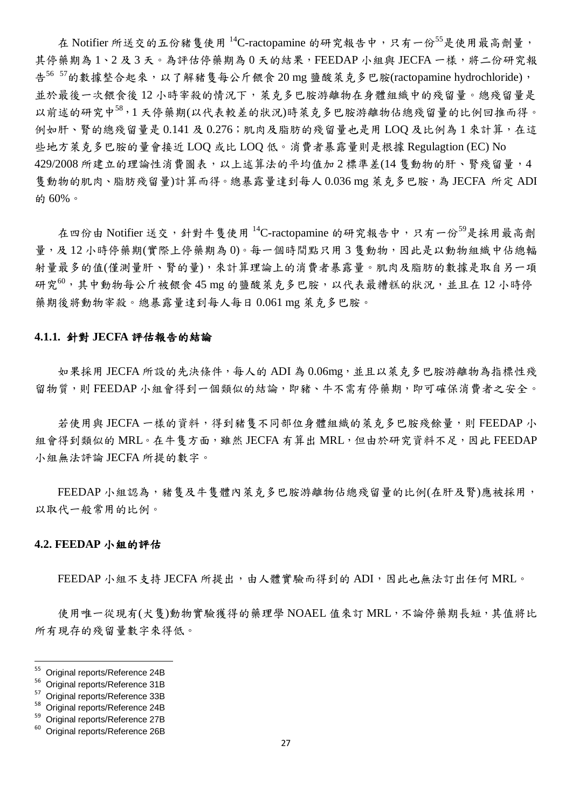在 Notifier 所送交的五份豬隻使用  $^{14}$ C-ractopamine 的研究報告中,只有一份 $^{55}$ 是使用最高劑量, 其停藥期為1、2及3天。為評估停藥期為0天的結果,FEEDAP 小組與 JECFA 一樣,將二份研究報 告<sup>56 57</sup>的數據整合起來,以了解豬隻每公斤餵食 20 mg 鹽酸萊克多巴胺(ractopamine hydrochloride), 並於最後一次餵食後 12 小時宰殺的情況下,萊克多巴胺游離物在身體組織中的殘留量。總殘留量是 以前述的研究中<sup>58</sup>,1 天停藥期(以代表較差的狀況)時萊克多巴胺游離物佔總殘留量的比例回推而得。 例如肝、腎的總殘留量是 0.141 及 0.276; 肌肉及脂肪的殘留量也是用 LOQ 及比例為 1 來計算, 在這 些地方萊克多巴胺的量會接近 LOQ 或比 LOQ 低。消費者暴露量則是根據 Regulagtion (EC) No 429/2008 所建立的理論性消費圖表,以上述算法的平均值加2標準差(14 售動物的肝、腎殘留量,4 隻動物的肌肉、脂肪殘留量)計算而得。總暴露量達到每人 0.036 mg 萊克多巴胺, 為 JECFA 所定 ADI 的 60%。

在四份由 Notifier 送交,針對牛隻使用  $^{14}$ C-ractopamine 的研究報告中,只有一份 $^{59}$ 是採用最高劑 量,及 12 小時停藥期(實際上停藥期為 0)。每一個時間點只用 3 隻動物,因此是以動物組織中佔總輻 射量最多的值(僅測量肝、腎的量),來計算理論上的消費者暴露量。肌肉及脂肪的數據是取自另一項 研究<sup>60</sup>,其中動物每公斤被餵食45 mg 的鹽酸萊克多巴胺,以代表最糟糕的狀況,並且在12小時停 藥期後將動物宰殺。總暴露量達到每人每日 0.061 mg 萊克多巴胺。

#### **4.1.1.** 針對 **JECFA** 評估報告的結論

如果採用 JECFA 所設的先決條件,每人的 ADI 為 0.06mg, 並且以萊克多巴胺游離物為指標性殘 留物質,則 FEEDAP 小組會得到一個類似的結論,即豬、牛不需有停藥期,即可確保消費者之安全。

若使用與 JECFA 一樣的資料,得到豬隻不同部位身體組織的萊克多巴胺殘餘量,則 FEEDAP 小 組會得到類似的 MRL。在牛隻方面,雖然 JECFA 有算出 MRL,但由於研究資料不足,因此 FEEDAP 小組無法評論 JECFA 所提的數字。

FEEDAP 小組認為,緒售及牛售體內萊克多巴胺游離物佔總殘留量的比例(在肝及腎)應被採用, 以取代一般常用的比例。

#### **4.2. FEEDAP** 小組的評估

FEEDAP 小組不支持 JECFA 所提出,由人體實驗而得到的 ADI,因此也無法訂出任何 MRL。

使用唯一從現有(犬隻)動物實驗獲得的藥理學 NOAEL 值來訂 MRL,不論停藥期長短,其值將比 所有現存的殘留量數字來得低。

<sup>55</sup> Original reports/Reference 24B

 $^{56}$  Original reports/Reference 31B

 $^{57}$  Original reports/Reference 33B

 $^{58}$  Original reports/Reference 24B

Original reports/Reference 27B

Original reports/Reference 26B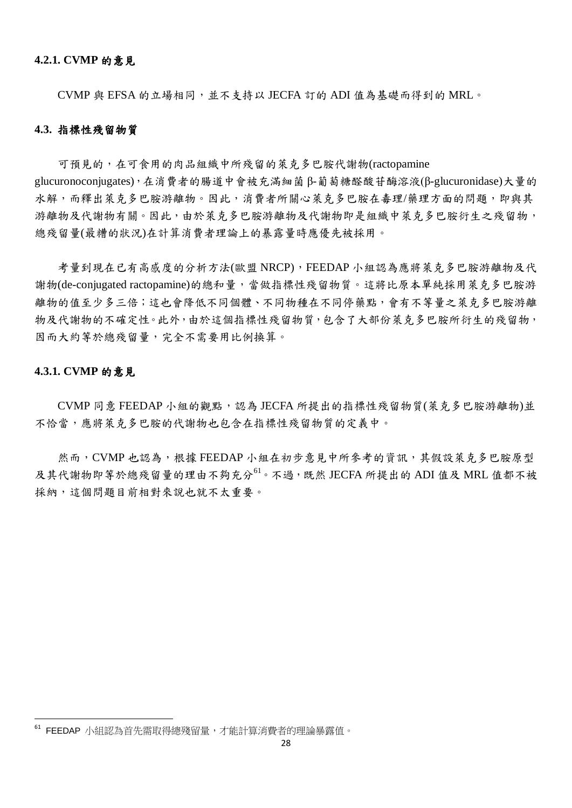CVMP 與 EFSA 的立場相同,並不支持以 JECFA 訂的 ADI 值為基礎而得到的 MRL。

#### **4.3.** 指標性殘留物質

可預見的,在可食用的肉品組織中所殘留的萊克多巴胺代謝物(ractopamine glucuronoconjugates),在消費者的腸道中會被充滿細菌 β-葡萄糖醛酸苷酶溶液(β-glucuronidase)大量的 水解,而釋出萊克多巴胺游離物。因此,消費者所關心萊克多巴胺在毒理/藥理方面的問題,即與其 游離物及代謝物有關。因此,由於萊克多巴胺游離物及代謝物即是組織中萊克多巴胺衍生之殘留物, 總殘留量(最糟的狀況)在計算消費者理論上的暴露量時應優先被採用。

考量到現在已有高感度的分析方法(歐盟 NRCP),FEEDAP 小組認為應將萊克多巴胺游離物及代 謝物(de-conjugated ractopamine)的總和量,當做指標性殘留物質。這將比原本單純採用萊克多巴胺游 離物的值至少多三倍;這也會降低不同個體、不同物種在不同停藥點,會有不等量之萊克多巴胺游離 物及代謝物的不確定性。此外,由於這個指標性殘留物質,包含了大部份萊克多巴胺所衍生的殘留物, 因而大約等於總殘留量,完全不需要用比例換算。

#### **4.3.1. CVMP** 的意見

-

CVMP 同意 FEEDAP 小組的觀點,認為 JECFA 所提出的指標性殘留物質(萊克多巴胺游離物)並 不恰當,應將萊克多巴胺的代謝物也包含在指標性殘留物質的定義中。

然而, CVMP 也認為, 根據 FEEDAP 小組在初步意見中所參考的資訊, 其假設萊克多巴胺原型 及其代謝物即等於總殘留量的理由不夠充分<sup>61。</sup>不過,既然 JECFA 所提出的 ADI 值及 MRL 值都不被 採納,這個問題目前相對來說也就不太重要。

 $^{61}$  FEEDAP 小組認為首先需取得總殘留量,才能計算消費者的理論暴露值。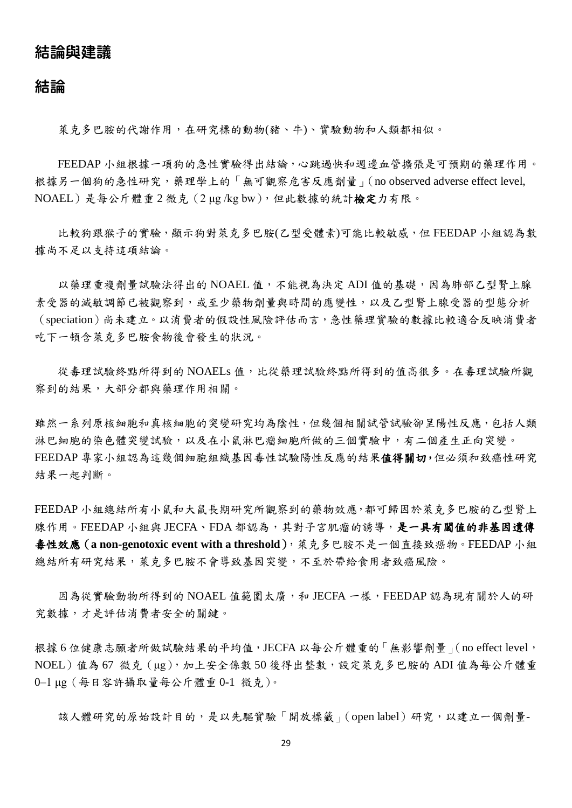# 結論與建議

## 結論

萊克多巴胺的代謝作用,在研究標的動物(豬、牛)、實驗動物和人類都相似。

FEEDAP 小組根據一項狗的急性實驗得出結論,心跳過快和週邊血管擴張是可預期的藥理作用。 根據另一個狗的急性研究,藥理學上的「無可觀察危害反應劑量」(no observed adverse effect level, NOAEL)是每公斤體重 2 微克(2 μg /kg bw),但此數據的統計檢定力有限。

比較狗跟猴子的實驗,顯示狗對萊克多巴胺(乙型受體素)可能比較敏感,但 FEEDAP 小組認為數 據尚不足以支持這項結論。

以藥理重複劑量試驗法得出的 NOAEL 值,不能視為決定 ADI 值的基礎,因為肺部乙型腎上腺 素受器的減敏調節已被觀察到,或至少藥物劑量與時間的應變性,以及乙型腎上腺受器的型態分析 (speciation)尚未建立。以消費者的假設性風險評估而言,急性藥理實驗的數據比較適合反映消費者 吃下一頓含萊克多巴胺食物後會發生的狀況。

從毒理試驗終點所得到的 NOAELs 值,比從藥理試驗終點所得到的值高很多。在毒理試驗所觀 察到的結果,大部分都與藥理作用相關。

雖然一系列原核細胞和真核細胞的突變研究均為陰性,但幾個相關試管試驗卻呈陽性反應,包括人類 淋巴細胞的染色體突變試驗,以及在小鼠淋巴瘤細胞所做的三個實驗中,有二個產生正向突變。 FEEDAP 專家小組認為這幾個細胞組織基因毒性試驗陽性反應的結果值得關切,但必須和致癌性研究 結果一起判斷。

FEEDAP 小組總結所有小鼠和大鼠長期研究所觀察到的藥物效應,都可歸因於萊克多巴胺的乙型腎上 腺作用。FEEDAP 小組與 JECFA、FDA 都認為,其對子宮肌瘤的誘導,是一具有閾值的非基因遺傳 毒性效應(**a non-genotoxic event with a threshold**),萊克多巴胺不是一個直接致癌物。FEEDAP 小組 總結所有研究結果,萊克多巴胺不會導致基因突變,不至於帶給食用者致癌風險。

因為從實驗動物所得到的 NOAEL 值範圍太廣,和 JECFA 一樣,FEEDAP 認為現有關於人的研 究數據,才是評估消費者安全的關鍵。

根據 6 位健康志願者所做試驗結果的平均值, JECFA 以每公斤體重的「無影響劑量」(no effect level, NOEL)值為 67 微克 (μg), 加上安全係數 50 後得出整數, 設定萊克多巴胺的 ADI 值為每公斤體重 0–1 μg(每日容許攝取量每公斤體重 0-1 微克)。

該人體研究的原始設計目的,是以先驅實驗「開放標籤」(open label)研究,以建立一個劑量-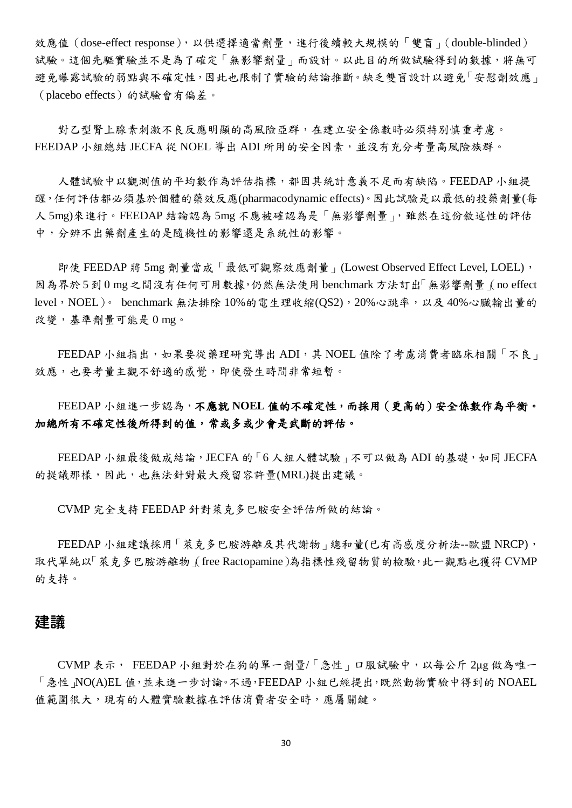效應值 (dose-effect response), 以供選擇適當劑量, 進行後續較大規模的「雙盲」(double-blinded) 試驗。這個先驅實驗並不是為了確定「無影響劑量」而設計。以此目的所做試驗得到的數據,將無可 避免曝露試驗的弱點與不確定性,因此也限制了實驗的結論推斷。缺乏雙盲設計以避免「安慰劑效應」 (placebo effects)的試驗會有偏差。

對乙型腎上腺素刺激不良反應明顯的高風險亞群,在建立安全係數時必須特別慎重考慮。 FEEDAP 小組總結 JECFA 從 NOEL 導出 ADI 所用的安全因素,並沒有充分考量高風險族群。

人體試驗中以觀測值的平均數作為評估指標,都因其統計意義不足而有缺陷。FEEDAP 小組提 醒,任何評估都必須基於個體的藥效反應(pharmacodynamic effects)。因此試驗是以最低的投藥劑量(每 人 5mg)來進行。FEEDAP 結論認為 5mg 不應被確認為是「無影響劑量」,雖然在這份敘述性的評估 中,分辨不出藥劑產生的是隨機性的影響還是系統性的影響。

即使 FEEDAP 將 5mg 劑量當成「最低可觀察效應劑量」(Lowest Observed Effect Level, LOEL), 因為界於 5 到 0 mg 之間沒有任何可用數據,仍然無法使用 benchmark 方法訂出「無影響劑量」(no effect level, NOEL)。 benchmark 無法排除 10%的電生理收縮(QS2), 20%心跳率, 以及 40%心臟輸出量的 改變,基準劑量可能是 0 mg。

FEEDAP 小組指出,如果要從藥理研究導出 ADI,其 NOEL 值除了考慮消費者臨床相關「不良」 效應,也要考量主觀不舒適的感覺,即使發生時間非常短暫。

FEEDAP 小組進一步認為,不應就 **NOEL** 值的不確定性,而採用(更高的)安全係數作為平衡。 加總所有不確定性後所得到的值,常或多或少會是武斷的評估。

FEEDAP 小組最後做成結論,JECFA 的「 $6$  人組人體試驗,不可以做為 ADI 的基礎,如同 JECFA 的提議那樣,因此,也無法針對最大殘留容許量(MRL)提出建議。

CVMP 完全支持 FEEDAP 針對萊克多巴胺安全評估所做的結論。

FEEDAP 小組建議採用「萊克多巴胺游離及其代謝物」總和量(已有高感度分析法--歐盟 NRCP), 取代單純以「萊克多巴胺游離物」(free Ractopamine)為指標性殘留物質的檢驗,此一觀點也獲得 CVMP 的支持。

## 建議

CVMP 表示, FEEDAP 小組對於在狗的單一劑量/「急性」口服試驗中,以每公斤 2μg 做為唯一 「急性」NO(A)EL 值,並未進一步討論。不過,FEEDAP 小組已經提出,既然動物實驗中得到的 NOAEL 值範圍很大,現有的人體實驗數據在評估消費者安全時,應屬關鍵。